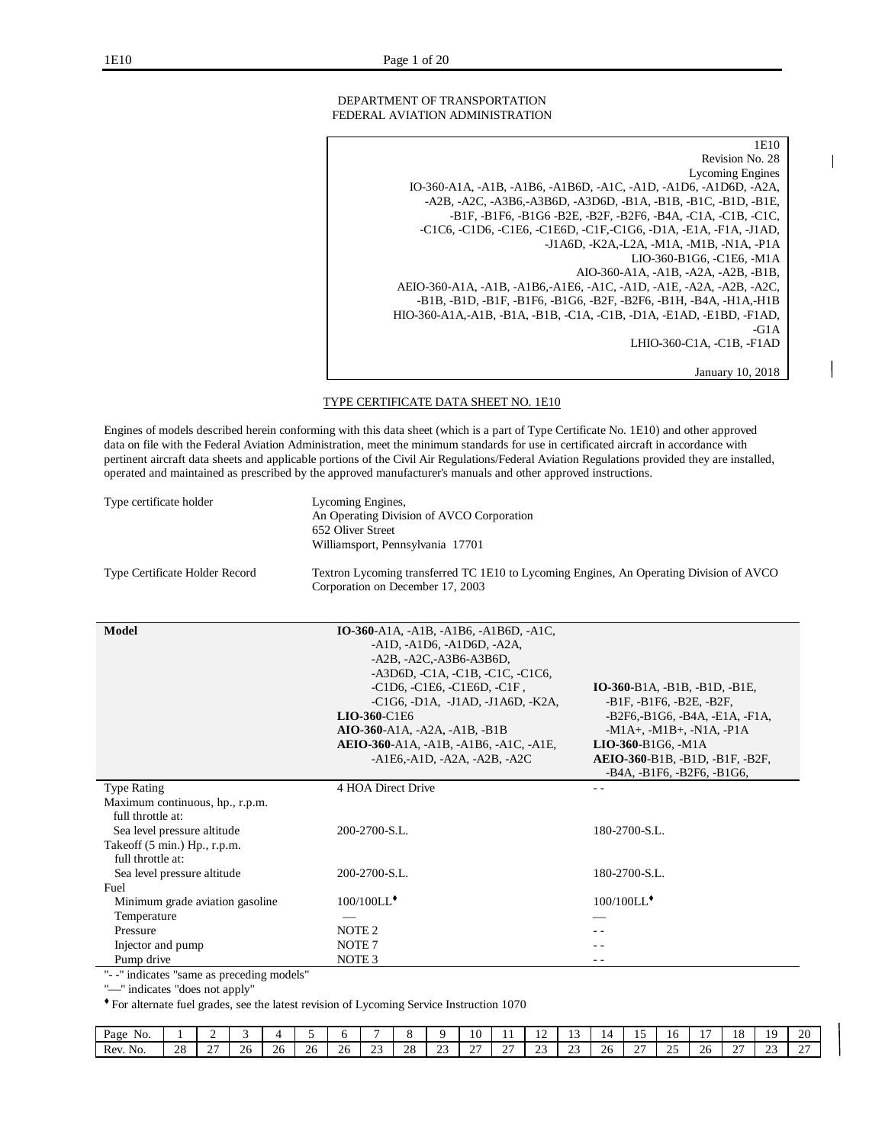DEPARTMENT OF TRANSPORTATION FEDERAL AVIATION ADMINISTRATION

1E10 Revision No. 28 Lycoming Engines IO-360-A1A, -A1B, -A1B6, -A1B6D, -A1C, -A1D, -A1D6, -A1D6D, -A2A, -A2B, -A2C, -A3B6,-A3B6D, -A3D6D, -B1A, -B1B, -B1C, -B1D, -B1E, -B1F, -B1F6, -B1G6 -B2E, -B2F, -B2F6, -B4A, -C1A, -C1B, -C1C, -C1C6, -C1D6, -C1E6, -C1E6D, -C1F,-C1G6, -D1A, -E1A, -F1A, -J1AD, -J1A6D, -K2A,-L2A, -M1A, -M1B, -N1A, -P1A LIO-360-B1G6, -C1E6, -M1A AIO-360-A1A, -A1B, -A2A, -A2B, -B1B, AEIO-360-A1A, -A1B, -A1B6,-A1E6, -A1C, -A1D, -A1E, -A2A, -A2B, -A2C, -B1B, -B1D, -B1F, -B1F6, -B1G6, -B2F, -B2F6, -B1H, -B4A, -H1A,-H1B HIO-360-A1A,-A1B, -B1A, -B1B, -C1A, -C1B, -D1A, -E1AD, -E1BD, -F1AD, -G1A LHIO-360-C1A, -C1B, -F1AD January 10, 2018

I

TYPE CERTIFICATE DATA SHEET NO. 1E10

Engines of models described herein conforming with this data sheet (which is a part of Type Certificate No. 1E10) and other approved data on file with the Federal Aviation Administration, meet the minimum standards for use in certificated aircraft in accordance with pertinent aircraft data sheets and applicable portions of the Civil Air Regulations/Federal Aviation Regulations provided they are installed, operated and maintained as prescribed by the approved manufacturer's manuals and other approved instructions.

| Type certificate holder                                                                    | Lycoming Engines,<br>An Operating Division of AVCO Corporation<br>652 Oliver Street<br>Williamsport, Pennsylvania 17701                                                                                                                                                                                                                                         |                                                                                                                                                                                                                                |
|--------------------------------------------------------------------------------------------|-----------------------------------------------------------------------------------------------------------------------------------------------------------------------------------------------------------------------------------------------------------------------------------------------------------------------------------------------------------------|--------------------------------------------------------------------------------------------------------------------------------------------------------------------------------------------------------------------------------|
| Type Certificate Holder Record                                                             | Textron Lycoming transferred TC 1E10 to Lycoming Engines, An Operating Division of AVCO<br>Corporation on December 17, 2003                                                                                                                                                                                                                                     |                                                                                                                                                                                                                                |
| Model                                                                                      | <b>IO-360-A1A, -A1B, -A1B6, -A1B6D, -A1C,</b><br>$-A1D, -A1D6, -A1D6D, -A2A,$<br>$-AZB, -A2C, -A3B6- A3B6D,$<br>-A3D6D, -C1A, -C1B, -C1C, -C1C6,<br>-C1D6, -C1E6, -C1E6D, -C1F,<br>$-C1G6$ , $-D1A$ , $-J1AD$ , $-J1A6D$ , $-K2A$<br>LIO-360-C1E6<br>AIO-360-A1A, -A2A, -A1B, -B1B<br>AEIO-360-A1A, -A1B, -A1B6, -A1C, -A1E,<br>$-A1E6, -A1D, -A2A, -A2B, -A2C$ | IO-360-B1A, -B1B, -B1D, -B1E,<br>$-B1F, -B1F6, -B2E, -B2F,$<br>-B2F6,-B1G6, -B4A, -E1A, -F1A,<br>$-M1A+$ , $-M1B+$ , $-N1A$ , $-PIA$<br>$LIO-360-B1G6$ , -M1A<br>AEIO-360-B1B, -B1D, -B1F, -B2F,<br>-B4A, -B1F6, -B2F6, -B1G6, |
| <b>Type Rating</b><br>Maximum continuous, hp., r.p.m.<br>full throttle at:                 | 4 HOA Direct Drive                                                                                                                                                                                                                                                                                                                                              | $ -$                                                                                                                                                                                                                           |
| Sea level pressure altitude<br>Takeoff $(5 \text{ min.})$ Hp., r.p.m.<br>full throttle at: | 200-2700-S.L.                                                                                                                                                                                                                                                                                                                                                   | 180-2700-S.L.                                                                                                                                                                                                                  |
| Sea level pressure altitude                                                                | 200-2700-S.L.                                                                                                                                                                                                                                                                                                                                                   | 180-2700-S.L.                                                                                                                                                                                                                  |
| Fuel                                                                                       |                                                                                                                                                                                                                                                                                                                                                                 |                                                                                                                                                                                                                                |
| Minimum grade aviation gasoline                                                            | 100/100LL <sup>+</sup>                                                                                                                                                                                                                                                                                                                                          | $100/100$ LL $^*$                                                                                                                                                                                                              |
| Temperature                                                                                |                                                                                                                                                                                                                                                                                                                                                                 |                                                                                                                                                                                                                                |
| Pressure                                                                                   | NOTE <sub>2</sub>                                                                                                                                                                                                                                                                                                                                               | - -                                                                                                                                                                                                                            |
| Injector and pump                                                                          | NOTE <sub>7</sub>                                                                                                                                                                                                                                                                                                                                               |                                                                                                                                                                                                                                |
| Pump drive                                                                                 | NOTE <sub>3</sub>                                                                                                                                                                                                                                                                                                                                               | $ -$                                                                                                                                                                                                                           |

"- -" indicates "same as preceding models"

"-" indicates "does not apply"

| Page<br>NO. |              |        |     |               |           |    |                    |          |                    | 10.                | . .                | $\overline{\phantom{a}}$<br>$\overline{1}$ | . .                |                | -<br>              | 1 V                      |              | $\sim$ $\sim$<br>.<br>1 V | ıо           | 20                 |
|-------------|--------------|--------|-----|---------------|-----------|----|--------------------|----------|--------------------|--------------------|--------------------|--------------------------------------------|--------------------|----------------|--------------------|--------------------------|--------------|---------------------------|--------------|--------------------|
| Rev<br>No.  | $\cap$<br>20 | $\sim$ | 26. | $\Omega$<br>້ | ን ሬ<br>∠∪ | ∠∪ | $\sim$ $\sim$<br>ت | ററ<br>20 | $\sim$<br><u>_</u> | $\sim$<br><u>.</u> | $\sim$ $\sim$<br>- | $\sim$<br>سد                               | $\sim$<br><u>_</u> | $\Omega$<br>∠∪ | $\sim$<br><u>.</u> | $\Delta$ $\epsilon$<br>~ | $\cap$<br>∠∪ | $\sim$<br><u>.</u>        | $\sim$<br>رے | $\sim$ $\sim$<br>- |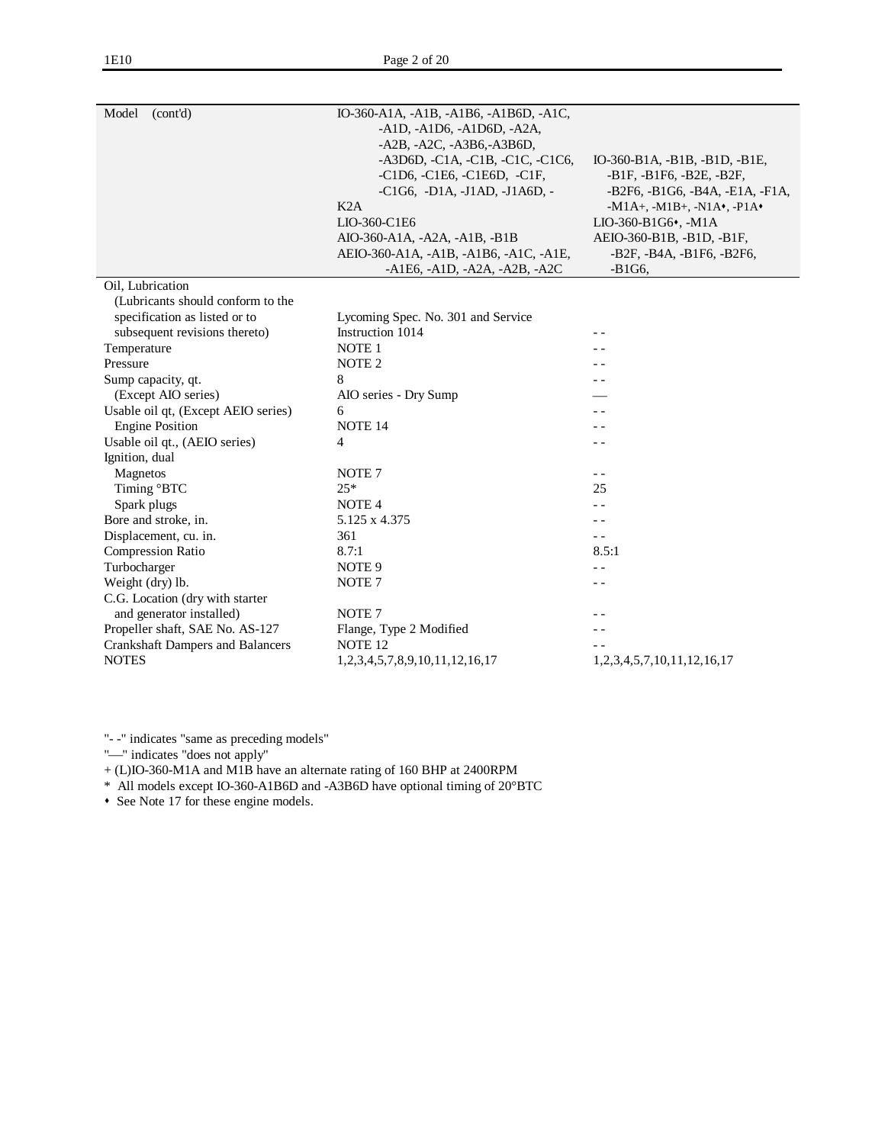| Model<br>(cont'd)                       | IO-360-A1A, -A1B, -A1B6, -A1B6D, -A1C,           |                                      |
|-----------------------------------------|--------------------------------------------------|--------------------------------------|
|                                         | $-A1D, -A1D6, -A1D6D, -A2A,$                     |                                      |
|                                         | -A2B, -A2C, -A3B6,-A3B6D,                        |                                      |
|                                         | $-A3D6D, -C1A, -C1B, -C1C, -C1C6,$               | IO-360-B1A, -B1B, -B1D, -B1E,        |
|                                         | -C1D6, -C1E6, -C1E6D, -C1F,                      | -B1F, -B1F6, -B2E, -B2F,             |
|                                         | $-C1G6$ , $-D1A$ , $-J1AD$ , $-J1A6D$ , $-I1A6D$ | -B2F6, -B1G6, -B4A, -E1A, -F1A,      |
|                                         | K2A                                              | $-M1A+, -M1B+, -N1A*, -P1A*$         |
|                                         | LIO-360-C1E6                                     | LIO-360-B1G6•, -M1A                  |
|                                         | AIO-360-A1A, -A2A, -A1B, -B1B                    | AEIO-360-B1B, -B1D, -B1F,            |
|                                         | AEIO-360-A1A, -A1B, -A1B6, -A1C, -A1E,           | -B2F, -B4A, -B1F6, -B2F6,            |
|                                         | $-A1E6, -A1D, -A2A, -A2B, -A2C$                  | $-B1G6,$                             |
| Oil, Lubrication                        |                                                  |                                      |
| (Lubricants should conform to the       |                                                  |                                      |
| specification as listed or to           | Lycoming Spec. No. 301 and Service               |                                      |
| subsequent revisions thereto)           | Instruction 1014                                 |                                      |
| Temperature                             | NOTE <sub>1</sub>                                |                                      |
| Pressure                                | NOTE <sub>2</sub>                                |                                      |
| Sump capacity, qt.                      | 8                                                |                                      |
| (Except AIO series)                     | AIO series - Dry Sump                            |                                      |
| Usable oil qt, (Except AEIO series)     | 6                                                | $\overline{\phantom{a}}$             |
| <b>Engine Position</b>                  | NOTE <sub>14</sub>                               | - -                                  |
| Usable oil qt., (AEIO series)           | 4                                                | $-$                                  |
| Ignition, dual                          |                                                  |                                      |
| Magnetos                                | NOTE <sub>7</sub>                                | $ -$                                 |
| Timing °BTC                             | $25*$                                            | 25                                   |
| Spark plugs                             | NOTE <sub>4</sub>                                | $ -$                                 |
| Bore and stroke, in.                    | 5.125 x 4.375                                    |                                      |
| Displacement, cu. in.                   | 361                                              | $ -$                                 |
| <b>Compression Ratio</b>                | 8.7:1                                            | 8.5:1                                |
| Turbocharger                            | NOTE <sub>9</sub>                                | $ -$                                 |
| Weight (dry) lb.                        | NOTE <sub>7</sub>                                | $ -$                                 |
| C.G. Location (dry with starter         |                                                  |                                      |
| and generator installed)                | NOTE <sub>7</sub>                                |                                      |
| Propeller shaft, SAE No. AS-127         | Flange, Type 2 Modified                          |                                      |
| <b>Crankshaft Dampers and Balancers</b> | NOTE <sub>12</sub>                               |                                      |
| <b>NOTES</b>                            | 1,2,3,4,5,7,8,9,10,11,12,16,17                   | 1, 2, 3, 4, 5, 7, 10, 11, 12, 16, 17 |
|                                         |                                                  |                                      |

"-" indicates "does not apply"

+ (L)IO-360-M1A and M1B have an alternate rating of 160 BHP at 2400RPM

\* All models except IO-360-A1B6D and -A3B6D have optional timing of 20°BTC

• See Note 17 for these engine models.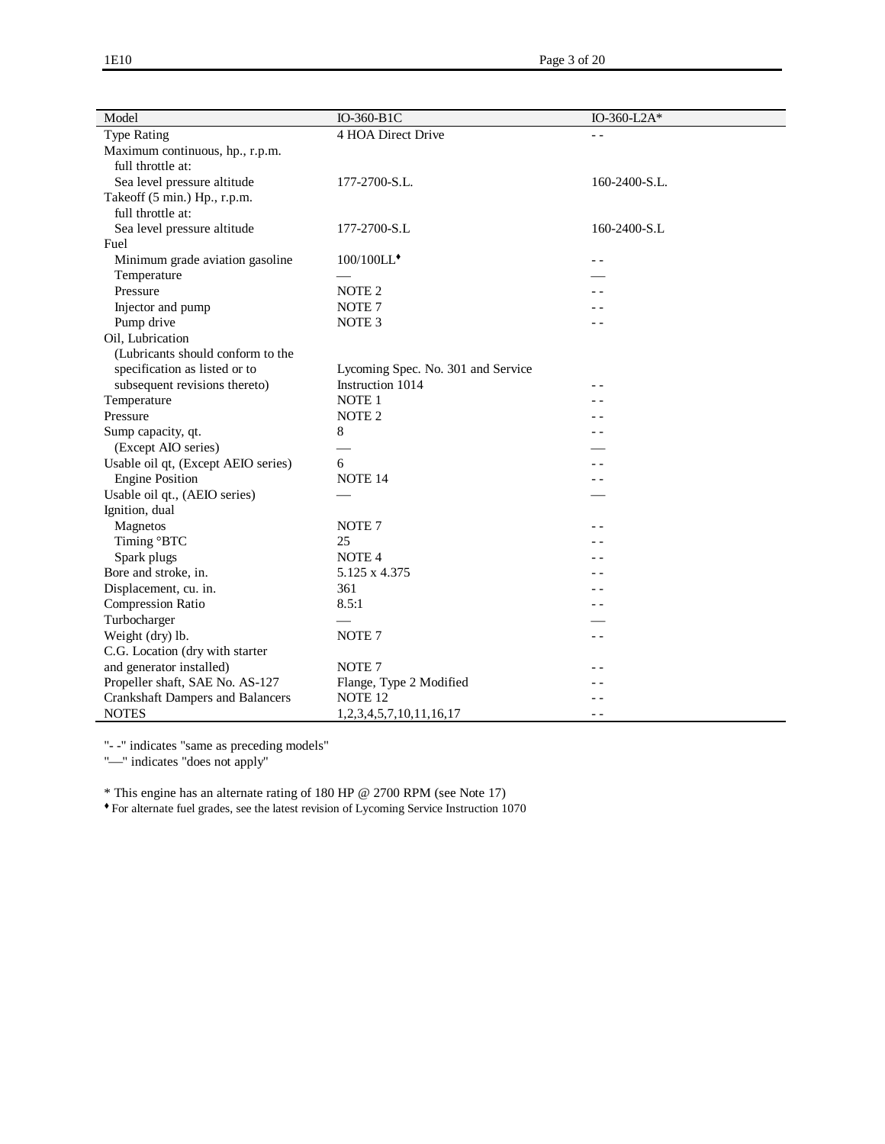| Model                                   | IO-360-B1C                         | IO-360-L2A $*$           |
|-----------------------------------------|------------------------------------|--------------------------|
| <b>Type Rating</b>                      | 4 HOA Direct Drive                 |                          |
| Maximum continuous, hp., r.p.m.         |                                    |                          |
| full throttle at:                       |                                    |                          |
| Sea level pressure altitude             | 177-2700-S.L.                      | 160-2400-S.L.            |
| Takeoff (5 min.) Hp., r.p.m.            |                                    |                          |
| full throttle at:                       |                                    |                          |
| Sea level pressure altitude             | 177-2700-S.L                       | 160-2400-S.L             |
| Fuel                                    |                                    |                          |
| Minimum grade aviation gasoline         | 100/100LL*                         | $ -$                     |
| Temperature                             |                                    |                          |
| Pressure                                | NOTE <sub>2</sub>                  |                          |
| Injector and pump                       | NOTE <sub>7</sub>                  |                          |
| Pump drive                              | NOTE <sub>3</sub>                  | - -                      |
| Oil, Lubrication                        |                                    |                          |
| (Lubricants should conform to the       |                                    |                          |
| specification as listed or to           | Lycoming Spec. No. 301 and Service |                          |
| subsequent revisions thereto)           | Instruction 1014                   |                          |
| Temperature                             | NOTE <sub>1</sub>                  | $\overline{\phantom{a}}$ |
| Pressure                                | NOTE <sub>2</sub>                  |                          |
| Sump capacity, qt.                      | 8                                  | - -                      |
| (Except AIO series)                     |                                    |                          |
| Usable oil qt, (Except AEIO series)     | 6                                  | $\overline{\phantom{a}}$ |
| <b>Engine Position</b>                  | NOTE <sub>14</sub>                 | - -                      |
| Usable oil qt., (AEIO series)           |                                    |                          |
| Ignition, dual                          |                                    |                          |
| Magnetos                                | NOTE <sub>7</sub>                  |                          |
| Timing °BTC                             | 25                                 |                          |
| Spark plugs                             | NOTE <sub>4</sub>                  |                          |
| Bore and stroke, in.                    | 5.125 x 4.375                      |                          |
| Displacement, cu. in.                   | 361                                |                          |
| <b>Compression Ratio</b>                | 8.5:1                              | - -                      |
| Turbocharger                            |                                    |                          |
| Weight (dry) lb.                        | NOTE <sub>7</sub>                  | $ -$                     |
| C.G. Location (dry with starter         |                                    |                          |
| and generator installed)                | NOTE <sub>7</sub>                  |                          |
| Propeller shaft, SAE No. AS-127         | Flange, Type 2 Modified            |                          |
| <b>Crankshaft Dampers and Balancers</b> | NOTE <sub>12</sub>                 |                          |
| <b>NOTES</b>                            | 1,2,3,4,5,7,10,11,16,17            | $ -$                     |

"-" indicates "does not apply"

\* This engine has an alternate rating of 180 HP @ 2700 RPM (see Note 17)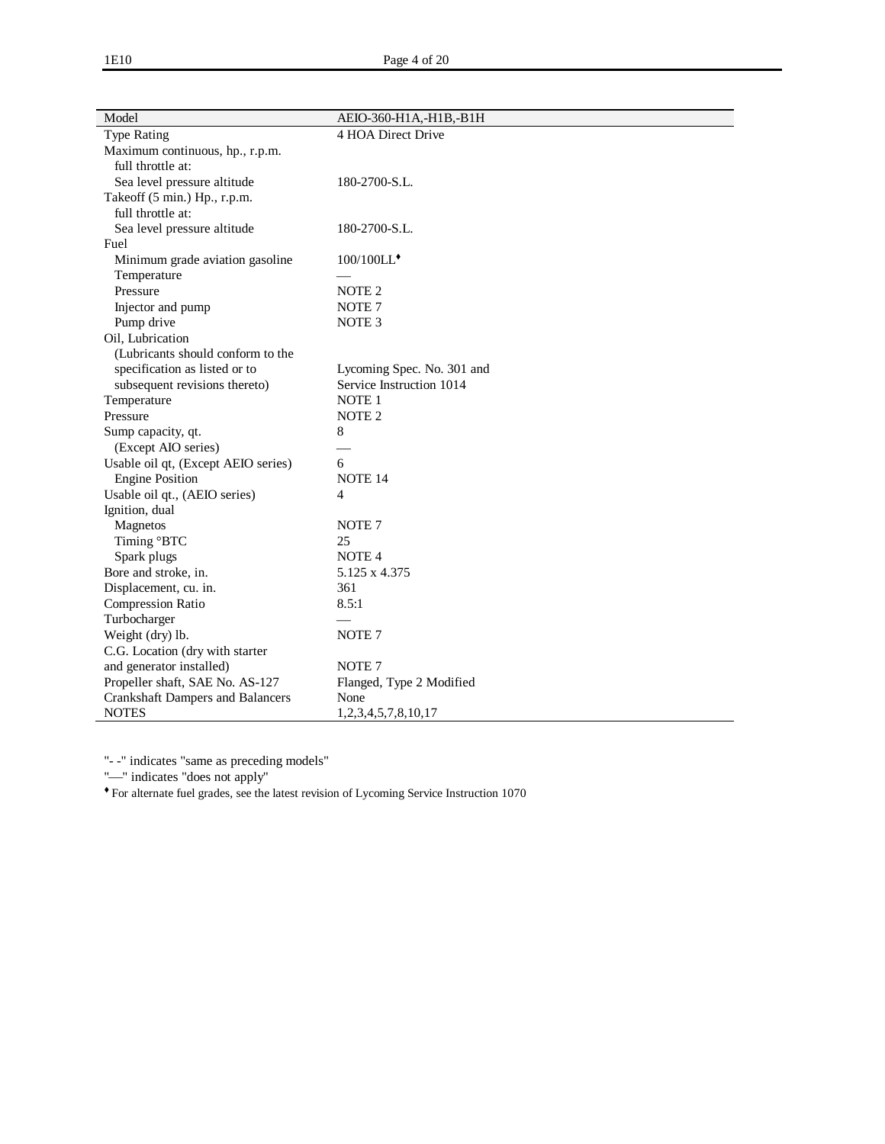| Model                                   | AEIO-360-H1A,-H1B,-B1H     |
|-----------------------------------------|----------------------------|
| <b>Type Rating</b>                      | 4 HOA Direct Drive         |
| Maximum continuous, hp., r.p.m.         |                            |
| full throttle at:                       |                            |
| Sea level pressure altitude             | 180-2700-S.L.              |
| Takeoff (5 min.) Hp., r.p.m.            |                            |
| full throttle at:                       |                            |
| Sea level pressure altitude             | 180-2700-S.L.              |
| Fuel                                    |                            |
| Minimum grade aviation gasoline         | 100/100LL <sup>+</sup>     |
| Temperature                             |                            |
| Pressure                                | NOTE <sub>2</sub>          |
| Injector and pump                       | NOTE <sub>7</sub>          |
| Pump drive                              | NOTE <sub>3</sub>          |
| Oil, Lubrication                        |                            |
| (Lubricants should conform to the       |                            |
| specification as listed or to           | Lycoming Spec. No. 301 and |
| subsequent revisions thereto)           | Service Instruction 1014   |
| Temperature                             | NOTE <sub>1</sub>          |
| Pressure                                | NOTE <sub>2</sub>          |
| Sump capacity, qt.                      | 8                          |
| (Except AIO series)                     |                            |
| Usable oil qt, (Except AEIO series)     | 6                          |
| <b>Engine Position</b>                  | NOTE <sub>14</sub>         |
| Usable oil qt., (AEIO series)           | $\overline{4}$             |
| Ignition, dual                          |                            |
| Magnetos                                | NOTE <sub>7</sub>          |
| Timing °BTC                             | 25                         |
| Spark plugs                             | NOTE <sub>4</sub>          |
| Bore and stroke, in.                    | 5.125 x 4.375              |
| Displacement, cu. in.                   | 361                        |
| <b>Compression Ratio</b>                | 8.5:1                      |
| Turbocharger                            |                            |
| Weight (dry) lb.                        | NOTE <sub>7</sub>          |
| C.G. Location (dry with starter         |                            |
| and generator installed)                | NOTE <sub>7</sub>          |
| Propeller shaft, SAE No. AS-127         | Flanged, Type 2 Modified   |
| <b>Crankshaft Dampers and Balancers</b> | None                       |
| <b>NOTES</b>                            | 1,2,3,4,5,7,8,10,17        |

"-" indicates "does not apply"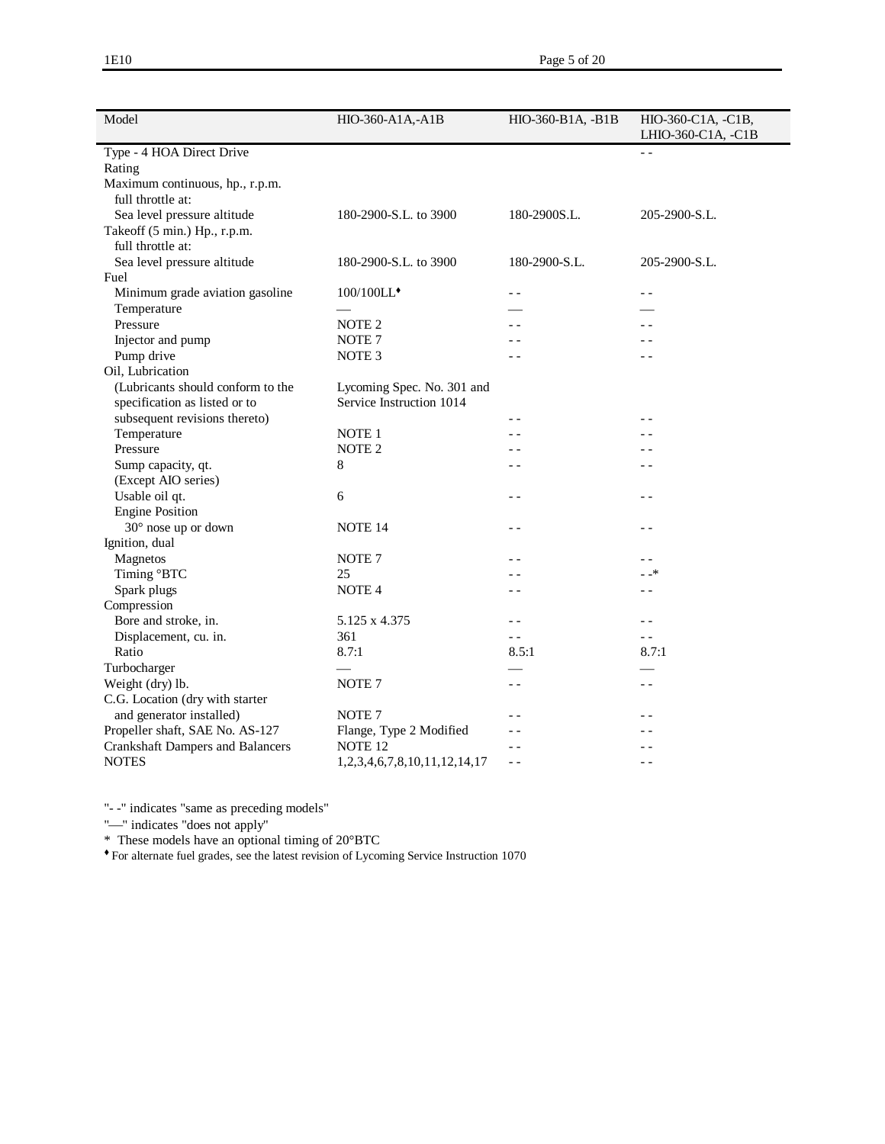| Model                                                | HIO-360-A1A,-A1B                        | HIO-360-B1A, -B1B | HIO-360-C1A, -C1B,       |
|------------------------------------------------------|-----------------------------------------|-------------------|--------------------------|
|                                                      |                                         |                   | LHIO-360-C1A, -C1B       |
| Type - 4 HOA Direct Drive                            |                                         |                   | $ -$                     |
| Rating                                               |                                         |                   |                          |
| Maximum continuous, hp., r.p.m.<br>full throttle at: |                                         |                   |                          |
| Sea level pressure altitude                          | 180-2900-S.L. to 3900                   | 180-2900S.L.      | 205-2900-S.L.            |
| Takeoff (5 min.) Hp., r.p.m.                         |                                         |                   |                          |
| full throttle at:                                    |                                         |                   |                          |
| Sea level pressure altitude                          | 180-2900-S.L. to 3900                   | 180-2900-S.L.     | 205-2900-S.L.            |
| Fuel                                                 |                                         |                   |                          |
| Minimum grade aviation gasoline                      | 100/100LL*                              | $ -$              | $ -$                     |
| Temperature                                          |                                         |                   |                          |
| Pressure                                             | NOTE <sub>2</sub>                       |                   | $ -$                     |
| Injector and pump                                    | NOTE <sub>7</sub>                       |                   |                          |
| Pump drive                                           | NOTE <sub>3</sub>                       | $ -$              | $ -$                     |
| Oil, Lubrication                                     |                                         |                   |                          |
| (Lubricants should conform to the                    | Lycoming Spec. No. 301 and              |                   |                          |
| specification as listed or to                        | Service Instruction 1014                |                   |                          |
| subsequent revisions thereto)                        |                                         | - -               | $ -$                     |
| Temperature                                          | NOTE 1                                  | $ -$              |                          |
| Pressure                                             | NOTE <sub>2</sub>                       | $ -$              | $ -$                     |
| Sump capacity, qt.                                   | 8                                       | $ -$              | $ -$                     |
| (Except AIO series)                                  |                                         |                   |                          |
| Usable oil qt.                                       | 6                                       | $\overline{a}$    | $\overline{\phantom{0}}$ |
| <b>Engine Position</b>                               |                                         |                   |                          |
| 30° nose up or down                                  | NOTE 14                                 | $ -$              | $ -$                     |
| Ignition, dual                                       |                                         |                   |                          |
| Magnetos                                             | NOTE <sub>7</sub>                       | $ -$              | $ -$                     |
| Timing °BTC                                          | 25                                      | $ -$              | - -*                     |
| Spark plugs                                          | NOTE <sub>4</sub>                       | $\overline{a}$    | $\overline{\phantom{0}}$ |
| Compression                                          |                                         |                   |                          |
| Bore and stroke, in.                                 | 5.125 x 4.375                           | $ -$              | $\overline{\phantom{0}}$ |
| Displacement, cu. in.                                | 361                                     | $ -$              | $ -$                     |
| Ratio                                                | 8.7:1                                   | 8.5:1             | 8.7:1                    |
| Turbocharger                                         |                                         |                   |                          |
| Weight (dry) lb.                                     | NOTE <sub>7</sub>                       | $ -$              | $ -$                     |
| C.G. Location (dry with starter                      |                                         |                   |                          |
| and generator installed)                             | NOTE <sub>7</sub>                       | $ -$              | $\overline{\phantom{0}}$ |
| Propeller shaft, SAE No. AS-127                      | Flange, Type 2 Modified                 | $ -$              |                          |
| <b>Crankshaft Dampers and Balancers</b>              | NOTE <sub>12</sub>                      | $ -$              |                          |
| <b>NOTES</b>                                         | 1, 2, 3, 4, 6, 7, 8, 10, 11, 12, 14, 17 | $- -$             | $ -$                     |

"-" indicates "does not apply"

\* These models have an optional timing of 20°BTC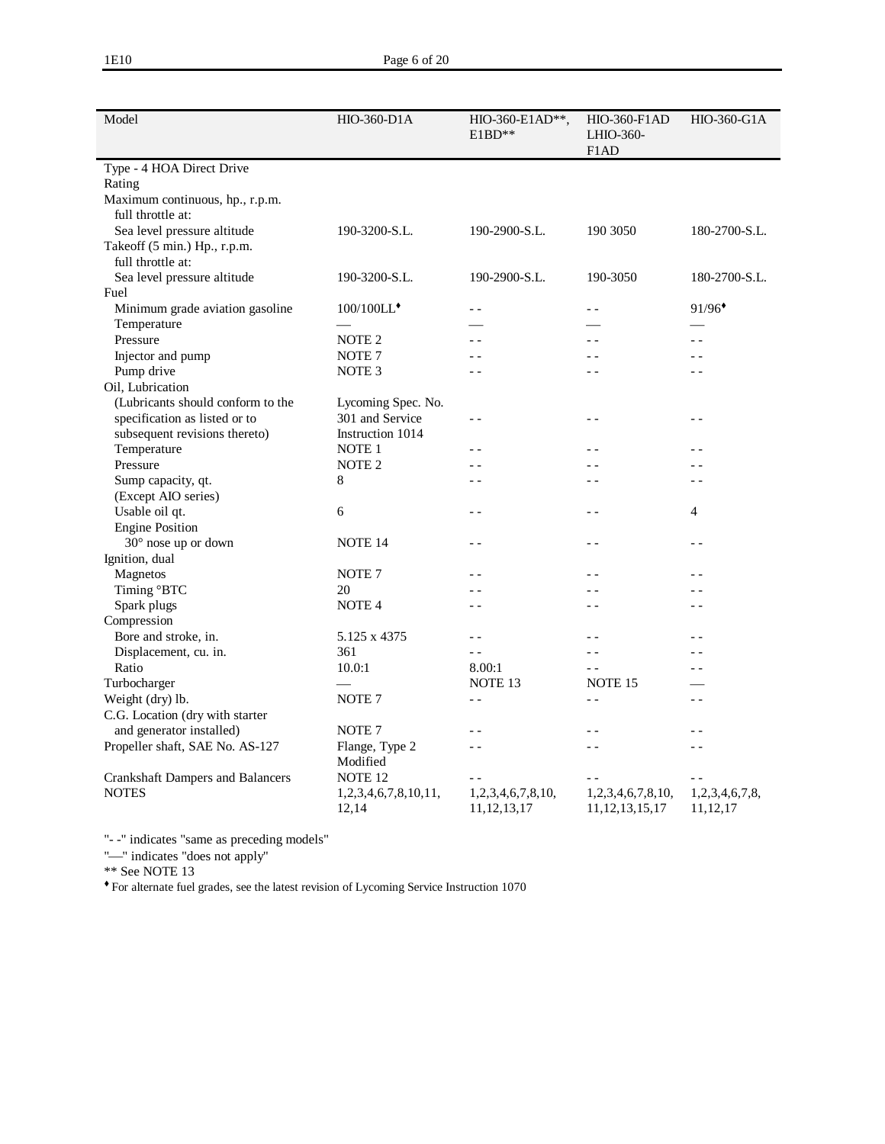| Model                                   | <b>HIO-360-D1A</b>            | $HIO-360-E1AD**$ ,<br>$E1BD**$      | <b>HIO-360-F1AD</b><br>LHIO-360-<br>F <sub>1</sub> AD | <b>HIO-360-G1A</b>           |
|-----------------------------------------|-------------------------------|-------------------------------------|-------------------------------------------------------|------------------------------|
| Type - 4 HOA Direct Drive               |                               |                                     |                                                       |                              |
| Rating                                  |                               |                                     |                                                       |                              |
| Maximum continuous, hp., r.p.m.         |                               |                                     |                                                       |                              |
| full throttle at:                       |                               |                                     |                                                       |                              |
| Sea level pressure altitude             | 190-3200-S.L.                 | 190-2900-S.L.                       | 190 3050                                              | 180-2700-S.L.                |
| Takeoff (5 min.) Hp., r.p.m.            |                               |                                     |                                                       |                              |
| full throttle at:                       |                               |                                     |                                                       |                              |
| Sea level pressure altitude             | 190-3200-S.L.                 | 190-2900-S.L.                       | 190-3050                                              | 180-2700-S.L.                |
| Fuel                                    |                               |                                     |                                                       |                              |
| Minimum grade aviation gasoline         | 100/100LL*                    | $\overline{a}$                      | $\overline{a}$                                        | 91/96                        |
| Temperature                             |                               |                                     |                                                       |                              |
| Pressure                                | NOTE <sub>2</sub>             | $\overline{a}$                      | $\overline{a}$                                        | $\overline{a}$               |
| Injector and pump                       | NOTE <sub>7</sub>             | $ -$                                |                                                       |                              |
| Pump drive                              | NOTE <sub>3</sub>             | $ -$                                | $-$                                                   | $ -$                         |
| Oil, Lubrication                        |                               |                                     |                                                       |                              |
| (Lubricants should conform to the       | Lycoming Spec. No.            |                                     |                                                       |                              |
| specification as listed or to           | 301 and Service               | $ -$                                | $ -$                                                  | $-$                          |
| subsequent revisions thereto)           | Instruction 1014              |                                     |                                                       |                              |
| Temperature                             | NOTE <sub>1</sub>             | $\overline{a}$                      | $-$                                                   | $\overline{a}$               |
| Pressure                                | NOTE <sub>2</sub>             | $ -$                                | $ -$                                                  | $ -$                         |
| Sump capacity, qt.                      | 8                             | $\overline{a}$                      | $\overline{a}$                                        | $ -$                         |
| (Except AIO series)                     |                               |                                     |                                                       |                              |
| Usable oil qt.                          | 6                             | $ -$                                | $ -$                                                  | 4                            |
| <b>Engine Position</b>                  |                               |                                     |                                                       |                              |
| 30° nose up or down                     | <b>NOTE 14</b>                | $ -$                                | $ -$                                                  | $- -$                        |
| Ignition, dual                          |                               |                                     |                                                       |                              |
| Magnetos                                | NOTE <sub>7</sub>             | $\overline{a}$                      | $\overline{a}$                                        | $ -$                         |
| Timing °BTC                             | 20                            | $ -$                                | $ -$                                                  | - -                          |
| Spark plugs                             | NOTE <sub>4</sub>             | $-$                                 | $ -$                                                  | $- -$                        |
| Compression                             |                               |                                     |                                                       |                              |
| Bore and stroke, in.                    | 5.125 x 4375                  | $\overline{a}$                      | $\overline{\phantom{a}}$                              | $ -$                         |
| Displacement, cu. in.                   | 361                           | $\sim$ $\sim$                       | $\overline{a}$                                        | $ -$                         |
| Ratio                                   | 10.0:1                        | 8.00:1                              | $ -$                                                  | $ -$                         |
| Turbocharger                            |                               | NOTE <sub>13</sub>                  | NOTE <sub>15</sub>                                    |                              |
| Weight (dry) lb.                        | NOTE <sub>7</sub>             | $ -$                                | $ -$                                                  | - -                          |
| C.G. Location (dry with starter         |                               |                                     |                                                       |                              |
| and generator installed)                | NOTE <sub>7</sub>             | $\overline{a}$                      | $\overline{\phantom{a}}$                              | $\overline{a}$               |
| Propeller shaft, SAE No. AS-127         | Flange, Type 2                | $ -$                                | $ -$                                                  | $ -$                         |
|                                         | Modified                      |                                     |                                                       |                              |
| <b>Crankshaft Dampers and Balancers</b> | NOTE <sub>12</sub>            | $ -$                                | $ -$                                                  | $ -$                         |
| <b>NOTES</b>                            | 1,2,3,4,6,7,8,10,11,<br>12,14 | 1,2,3,4,6,7,8,10,<br>11, 12, 13, 17 | 1,2,3,4,6,7,8,10,<br>11, 12, 13, 15, 17               | 1,2,3,4,6,7,8,<br>11, 12, 17 |

"-" indicates "does not apply"

\*\* See NOTE 13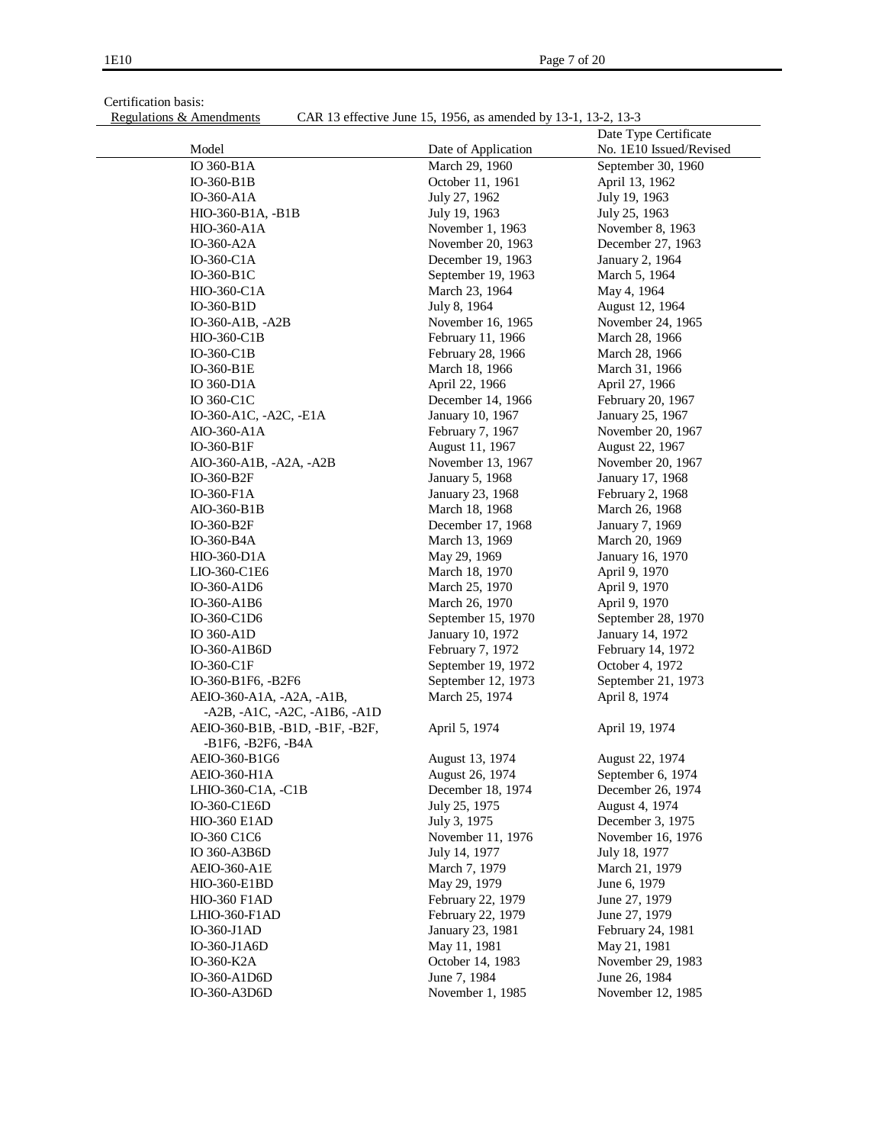Certification basis:<br>Regulations & Amendments

CAR 13 effective June 15, 1956, as amended by 13-1, 13-2, 13-3

|                                             |                     | Date Type Certificate   |
|---------------------------------------------|---------------------|-------------------------|
| Model                                       | Date of Application | No. 1E10 Issued/Revised |
| IO 360-B1A                                  | March 29, 1960      | September 30, 1960      |
| $IO-360-B1B$                                | October 11, 1961    | April 13, 1962          |
| $IO-360- A1A$                               | July 27, 1962       | July 19, 1963           |
| HIO-360-B1A, -B1B                           | July 19, 1963       | July 25, 1963           |
| <b>HIO-360-A1A</b>                          | November 1, 1963    | November 8, 1963        |
| IO-360-A2A                                  | November 20, 1963   | December 27, 1963       |
| $IO-360-ClA$                                | December 19, 1963   | January 2, 1964         |
| IO-360-B1C                                  | September 19, 1963  | March 5, 1964           |
| HIO-360-C1A                                 | March 23, 1964      | May 4, 1964             |
| $IO-360-B1D$                                | July 8, 1964        | August 12, 1964         |
| IO-360-A1B, -A2B                            | November 16, 1965   | November 24, 1965       |
| HIO-360-C1B                                 | February 11, 1966   | March 28, 1966          |
| $IO-360-ClB$                                | February 28, 1966   | March 28, 1966          |
| $IO-360-B1E$                                | March 18, 1966      | March 31, 1966          |
| IO 360-D1A                                  | April 22, 1966      | April 27, 1966          |
| IO 360-C1C                                  | December 14, 1966   | February 20, 1967       |
| IO-360-A1C, -A2C, -E1A                      | January 10, 1967    | January 25, 1967        |
| AIO-360-A1A                                 | February 7, 1967    | November 20, 1967       |
| IO-360-B1F                                  | August 11, 1967     | August 22, 1967         |
| AIO-360-A1B, -A2A, -A2B                     | November 13, 1967   | November 20, 1967       |
| IO-360-B2F                                  | January 5, 1968     | January 17, 1968        |
| IO-360-F1A                                  | January 23, 1968    | February 2, 1968        |
| AIO-360-B1B                                 | March 18, 1968      | March 26, 1968          |
| IO-360-B2F                                  | December 17, 1968   | January 7, 1969         |
| IO-360-B4A                                  | March 13, 1969      | March 20, 1969          |
| HIO-360-D1A                                 | May 29, 1969        | January 16, 1970        |
| LIO-360-C1E6                                | March 18, 1970      | April 9, 1970           |
| IO-360-A1D6                                 | March 25, 1970      | April 9, 1970           |
| IO-360-A1B6                                 | March 26, 1970      | April 9, 1970           |
| IO-360-C1D6                                 | September 15, 1970  | September 28, 1970      |
| IO 360-A1D                                  | January 10, 1972    | January 14, 1972        |
| IO-360-A1B6D                                | February 7, 1972    | February 14, 1972       |
| IO-360-C1F                                  | September 19, 1972  | October 4, 1972         |
| IO-360-B1F6, -B2F6                          | September 12, 1973  | September 21, 1973      |
| AEIO-360-A1A, -A2A, -A1B,                   | March 25, 1974      | April 8, 1974           |
| $-A2B$ , $-A1C$ , $-A2C$ , $-A1B6$ , $-A1D$ |                     |                         |
| AEIO-360-B1B, -B1D, -B1F, -B2F,             | April 5, 1974       | April 19, 1974          |
| -B1F6, -B2F6, -B4A                          |                     |                         |
| AEIO-360-B1G6                               | August 13, 1974     | August 22, 1974         |
| AEIO-360-H1A                                | August 26, 1974     | September 6, 1974       |
| LHIO-360-C1A, -C1B                          | December 18, 1974   | December 26, 1974       |
| IO-360-C1E6D                                | July 25, 1975       | August 4, 1974          |
| <b>HIO-360 E1AD</b>                         | July 3, 1975        | December 3, 1975        |
| IO-360 C1C6                                 | November 11, 1976   | November 16, 1976       |
| IO 360-A3B6D                                | July 14, 1977       | July 18, 1977           |
| <b>AEIO-360-A1E</b>                         | March 7, 1979       | March 21, 1979          |
| HIO-360-E1BD                                | May 29, 1979        | June 6, 1979            |
| <b>HIO-360 F1AD</b>                         | February 22, 1979   | June 27, 1979           |
| LHIO-360-F1AD                               | February 22, 1979   | June 27, 1979           |
| $IO-360-J1AD$                               | January 23, 1981    | February 24, 1981       |
| IO-360-J1A6D                                | May 11, 1981        | May 21, 1981            |
| IO-360-K2A                                  | October 14, 1983    | November 29, 1983       |
| IO-360-A1D6D                                | June 7, 1984        | June 26, 1984           |
| IO-360-A3D6D                                | November 1, 1985    | November 12, 1985       |
|                                             |                     |                         |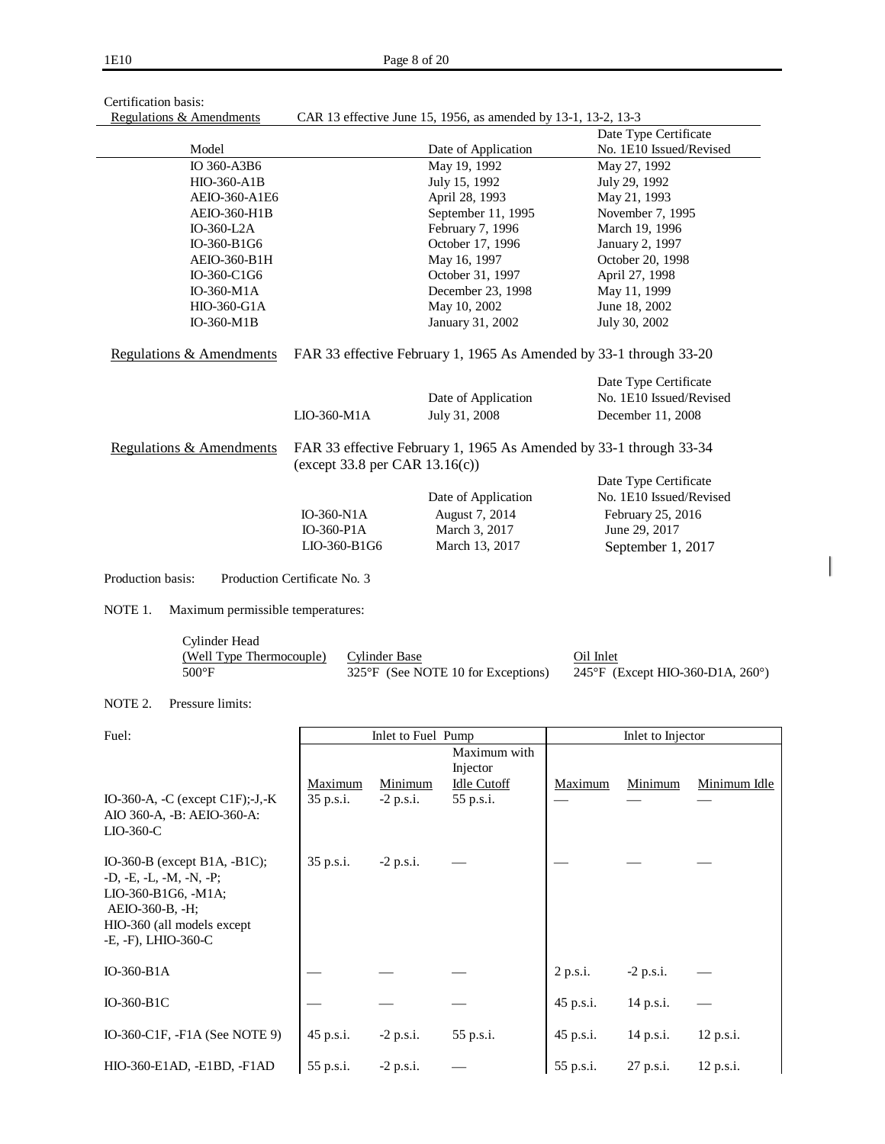| Certification basis: |  |  |
|----------------------|--|--|
| <b>P</b> 1.' 0       |  |  |

## Regulations & Amendments CAR 13 effective June 15, 1956, as amended by 13-1, 13-2, 13-3

| <u>Regulations &amp; Amendments</u>                                        |                                     | CAR 13 effective June 15, 1956, as amended by 13-1, 13-2, 13-3 |                                                                    |
|----------------------------------------------------------------------------|-------------------------------------|----------------------------------------------------------------|--------------------------------------------------------------------|
|                                                                            |                                     |                                                                | Date Type Certificate                                              |
| Model                                                                      |                                     | Date of Application                                            | No. 1E10 Issued/Revised                                            |
| IO 360-A3B6                                                                |                                     |                                                                | May 27, 1992                                                       |
| <b>HIO-360-A1B</b>                                                         |                                     | July 15, 1992                                                  | July 29, 1992                                                      |
| AEIO-360-A1E6                                                              |                                     | April 28, 1993                                                 | May 21, 1993                                                       |
| <b>AEIO-360-H1B</b>                                                        |                                     | September 11, 1995                                             | November 7, 1995                                                   |
| IO-360-L2A                                                                 |                                     | February 7, 1996                                               | March 19, 1996                                                     |
| IO-360-B1G6                                                                |                                     | October 17, 1996                                               | January 2, 1997                                                    |
| AEIO-360-B1H                                                               |                                     | May 16, 1997                                                   | October 20, 1998                                                   |
| IO-360-C1G6                                                                |                                     | October 31, 1997                                               | April 27, 1998                                                     |
| IO-360-M1A                                                                 |                                     | December 23, 1998                                              | May 11, 1999                                                       |
| <b>HIO-360-G1A</b>                                                         |                                     | May 10, 2002                                                   | June 18, 2002                                                      |
| IO-360-M1B                                                                 |                                     | January 31, 2002                                               | July 30, 2002                                                      |
| Regulations & Amendments                                                   |                                     |                                                                | FAR 33 effective February 1, 1965 As Amended by 33-1 through 33-20 |
|                                                                            |                                     |                                                                | Date Type Certificate                                              |
|                                                                            |                                     | Date of Application                                            | No. 1E10 Issued/Revised                                            |
|                                                                            | $LIO-360-M1A$                       | July 31, 2008                                                  | December 11, 2008                                                  |
| Regulations & Amendments                                                   | (except $33.8$ per CAR $13.16(c)$ ) |                                                                | FAR 33 effective February 1, 1965 As Amended by 33-1 through 33-34 |
|                                                                            |                                     |                                                                | Date Type Certificate                                              |
|                                                                            |                                     | Date of Application                                            | No. 1E10 Issued/Revised                                            |
|                                                                            | IO-360-N1A                          | August 7, 2014                                                 | February 25, 2016                                                  |
|                                                                            | $IO-360-PIA$                        | March 3, 2017                                                  | June 29, 2017                                                      |
|                                                                            | LIO-360-B1G6                        | March 13, 2017                                                 | September 1, 2017                                                  |
| Production basis:                                                          | Production Certificate No. 3        |                                                                |                                                                    |
| NOTE 1.<br>Maximum permissible temperatures:                               |                                     |                                                                |                                                                    |
| Cylinder Head                                                              |                                     |                                                                |                                                                    |
| (Well Type Thermocouple)                                                   | <b>Cylinder Base</b>                |                                                                | Oil Inlet                                                          |
| $500^{\circ} \mathrm{F}$                                                   |                                     | 325°F (See NOTE 10 for Exceptions)                             | 245°F (Except HIO-360-D1A, 260°)                                   |
|                                                                            |                                     |                                                                |                                                                    |
| NOTE 2.<br>Pressure limits:                                                |                                     |                                                                |                                                                    |
| Fuel:                                                                      |                                     | Inlet to Fuel Pump                                             | Inlet to Injector                                                  |
|                                                                            |                                     | Maximum with                                                   |                                                                    |
|                                                                            |                                     | Injector                                                       |                                                                    |
|                                                                            | Maximum<br>Minimum                  | <b>Idle Cutoff</b>                                             | Minimum Idle<br>Maximum<br>Minimum                                 |
| IO-360-A, $-C$ (except C1F);-J,-K                                          | 35 p.s.i.<br>$-2$ p.s.i.            | 55 p.s.i.                                                      |                                                                    |
| $\Lambda$ IO 360 $\Lambda$ - R $\cdot$ $\Lambda$ EIO 360 $\Lambda$ $\cdot$ |                                     |                                                                |                                                                    |

| AIO 360-A, -B: AEIO-360-A:<br>$LIO-360-C$                                                                                                                      |           |             |           |           |             |             |
|----------------------------------------------------------------------------------------------------------------------------------------------------------------|-----------|-------------|-----------|-----------|-------------|-------------|
| IO-360-B (except B1A, $-B1C$ );<br>$-D, -E, -L, -M, -N, -P;$<br>LIO-360-B1G6, -M1A;<br>AEIO-360-B, -H;<br>HIO-360 (all models except<br>$-E, -F$ ), LHIO-360-C | 35 p.s.i. | $-2$ p.s.i. |           |           |             |             |
| $IO-360-B1A$                                                                                                                                                   |           |             |           | 2 p.s.i.  | $-2$ p.s.i. |             |
| $IO-360-B1C$                                                                                                                                                   |           |             |           | 45 p.s.i. | 14 p.s.i.   |             |
| IO-360-C1F, $-F1A$ (See NOTE 9)                                                                                                                                | 45 p.s.i. | $-2$ p.s.i. | 55 p.s.i. | 45 p.s.i. | 14 p.s.i.   | $12$ p.s.i. |
| $HIO-360-E1AD, -E1BD, -F1AD$                                                                                                                                   | 55 p.s.i. | $-2$ p.s.i. |           | 55 p.s.i. | 27 p.s.i.   | $12$ p.s.i. |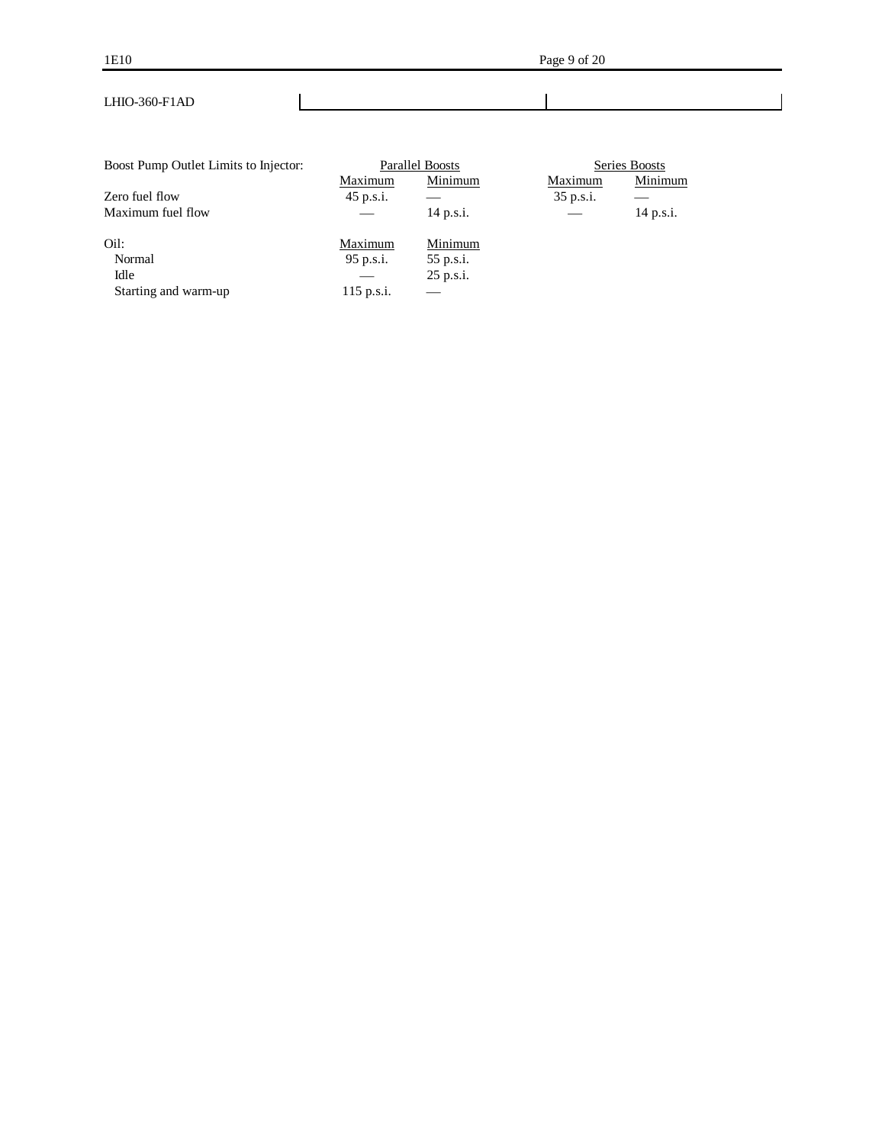| Boost Pump Outlet Limits to Injector: |              | Parallel Boosts | Series Boosts |           |  |  |
|---------------------------------------|--------------|-----------------|---------------|-----------|--|--|
|                                       | Maximum      | Minimum         | Maximum       | Minimum   |  |  |
| Zero fuel flow                        | 45 p.s.i.    |                 | 35 p.s.i.     |           |  |  |
| Maximum fuel flow                     |              | 14 p.s.i.       |               | 14 p.s.i. |  |  |
| Oil:                                  | Maximum      | Minimum         |               |           |  |  |
| Normal                                | 95 p.s.i.    | 55 p.s.i.       |               |           |  |  |
| Idle                                  |              | 25 p.s.i.       |               |           |  |  |
| Starting and warm-up                  | $115$ p.s.i. |                 |               |           |  |  |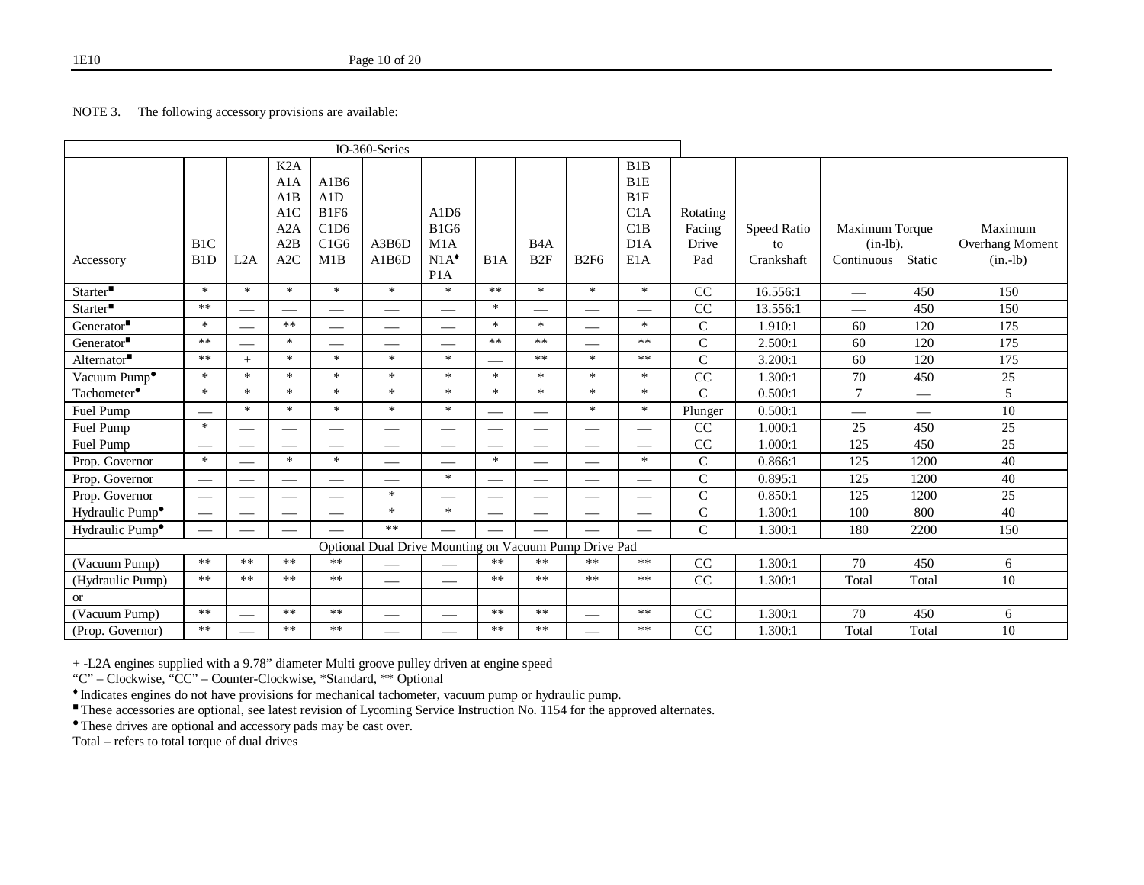## NOTE 3. The following accessory provisions are available:

|                                 |                                      |                  |                                               |                                            | IO-360-Series                                         |                                                                       |                               |                                     |                               |                                                           |                                    |                                 |                                             |                          |                                          |
|---------------------------------|--------------------------------------|------------------|-----------------------------------------------|--------------------------------------------|-------------------------------------------------------|-----------------------------------------------------------------------|-------------------------------|-------------------------------------|-------------------------------|-----------------------------------------------------------|------------------------------------|---------------------------------|---------------------------------------------|--------------------------|------------------------------------------|
| Accessory                       | B <sub>1</sub> C<br>B <sub>1</sub> D | L <sub>2</sub> A | K2A<br>A1A<br>A1B<br>A1C<br>A2A<br>A2B<br>A2C | A1B6<br>A1D<br>B1F6<br>C1D6<br>C1G6<br>M1B | A3B6D<br>A1B6D                                        | A1D <sub>6</sub><br><b>B1G6</b><br>M1A<br>$N1A^*$<br>P <sub>1</sub> A | B1A                           | B <sub>4</sub> A<br>B <sub>2F</sub> | <b>B2F6</b>                   | B1B<br>B <sub>1E</sub><br>B1F<br>C1A<br>C1B<br>D1A<br>E1A | Rotating<br>Facing<br>Drive<br>Pad | Speed Ratio<br>to<br>Crankshaft | Maximum Torque<br>$(in-lb)$ .<br>Continuous | Static                   | Maximum<br>Overhang Moment<br>$(in.-lb)$ |
| $\text{Starter}^{\blacksquare}$ | $\ast$                               | $\ast$           | $\ast$                                        | $\ast$                                     | $\ast$                                                | $\ast$                                                                | $***$                         | $\ast$                              | $\ast$                        | $\ast$                                                    | CC                                 | 16.556:1                        |                                             | 450                      | 150                                      |
| Starter                         | $**$                                 |                  |                                               |                                            |                                                       |                                                                       | $\ast$                        | –                                   |                               |                                                           | CC                                 | 13.556:1                        |                                             | 450                      | 150                                      |
| Generator                       | $\ast$                               |                  | $***$                                         | $\overbrace{\phantom{13333}}$              | $\overline{\phantom{0}}$                              |                                                                       | $\ast$                        | $\ast$                              |                               | $\ast$                                                    | $\mathsf{C}$                       | 1.910:1                         | 60                                          | 120                      | 175                                      |
| Generator <sup>"</sup>          | $***$                                |                  | $\ast$                                        |                                            | __                                                    |                                                                       | $**$                          | $**$                                |                               | $***$                                                     | $\mathbf C$                        | 2.500:1                         | 60                                          | 120                      | 175                                      |
| Alternator $\blacksquare$       | $**$                                 | $^{+}$           | $\ast$                                        | $\ast$                                     | $\ast$                                                | $\ast$                                                                |                               | $***$                               | $\ast$                        | $**$                                                      | $\mathsf{C}$                       | 3.200:1                         | 60                                          | 120                      | 175                                      |
| Vacuum Pump <sup>•</sup>        | $\ast$                               | $\ast$           | $\ast$                                        | $\ast$                                     | $\ast$                                                | $\ast$                                                                | $\ast$                        | $\ast$                              | $\ast$                        | $\ast$                                                    | CC                                 | 1.300:1                         | 70                                          | 450                      | 25                                       |
| Tachometer <sup>•</sup>         | $\ast$                               | $\ast$           | $\ast$                                        | $\ast$                                     | $\ast$                                                | $\ast$                                                                | $\ast$                        | $\ast$                              | $\ast$                        | $\ast$                                                    | $\overline{C}$                     | 0.500:1                         | $\overline{7}$                              |                          | 5                                        |
| Fuel Pump                       |                                      | $\ast$           | $\ast$                                        | $\ast$                                     | $\ast$                                                | $\ast$                                                                |                               |                                     | $\ast$                        | $\ast$                                                    | Plunger                            | 0.500:1                         | $\overline{\phantom{0}}$                    | $\overline{\phantom{0}}$ | 10                                       |
| Fuel Pump                       | $\ast$                               |                  | $\qquad \qquad$                               |                                            |                                                       | $\hspace{0.05cm}$                                                     | $\overline{\phantom{m}}$      | $\hspace{0.05cm}$                   | $\hspace{0.05cm}$             |                                                           | CC                                 | 1.000:1                         | 25                                          | 450                      | 25                                       |
| Fuel Pump                       |                                      |                  |                                               |                                            |                                                       |                                                                       | $\overbrace{\phantom{12332}}$ |                                     |                               |                                                           | CC                                 | 1.000:1                         | 125                                         | 450                      | 25                                       |
| Prop. Governor                  | $\ast$                               |                  | $\ast$                                        | $\ast$                                     | $\overline{\phantom{0}}$                              | $\overline{\phantom{0}}$                                              | $\ast$                        | $\overline{\phantom{0}}$            | $\overbrace{\phantom{12332}}$ | $\ast$                                                    | $\mathsf{C}$                       | 0.866:1                         | 125                                         | 1200                     | 40                                       |
| Prop. Governor                  | $\overline{\phantom{m}}$             |                  |                                               | $\overline{\phantom{0}}$                   |                                                       | $\ast$                                                                |                               |                                     |                               |                                                           | $\mathsf{C}$                       | 0.895:1                         | 125                                         | 1200                     | 40                                       |
| Prop. Governor                  |                                      |                  | $\overline{\phantom{0}}$                      |                                            | $\ast$                                                |                                                                       |                               | $\overline{\phantom{0}}$            | $\overline{\phantom{0}}$      |                                                           | $\mathsf{C}$                       | 0.850:1                         | 125                                         | 1200                     | 25                                       |
| Hydraulic Pump <sup>•</sup>     |                                      |                  |                                               |                                            | $\ast$                                                | $\ast$                                                                | $\overbrace{\phantom{12332}}$ |                                     |                               |                                                           | $\mathsf{C}$                       | 1.300:1                         | 100                                         | 800                      | 40                                       |
| Hydraulic Pump <sup>•</sup>     |                                      |                  |                                               |                                            | **                                                    |                                                                       |                               |                                     |                               |                                                           | $\mathsf{C}$                       | 1.300:1                         | 180                                         | 2200                     | 150                                      |
|                                 |                                      |                  |                                               |                                            | Optional Dual Drive Mounting on Vacuum Pump Drive Pad |                                                                       |                               |                                     |                               |                                                           |                                    |                                 |                                             |                          |                                          |
| (Vacuum Pump)                   | $***$                                | $***$            | $***$                                         | $***$                                      |                                                       |                                                                       | **                            | $***$                               | **                            | $***$                                                     | CC                                 | 1.300:1                         | 70                                          | 450                      | 6                                        |
| (Hydraulic Pump)                | $**$                                 | $**$             | $***$                                         | $***$                                      | $\overline{\phantom{0}}$                              |                                                                       | $***$                         | $***$                               | $***$                         | **                                                        | CC                                 | 1.300:1                         | Total                                       | Total                    | 10                                       |
| $\alpha$                        |                                      |                  |                                               |                                            |                                                       |                                                                       |                               |                                     |                               |                                                           |                                    |                                 |                                             |                          |                                          |
| (Vacuum Pump)                   | $**$                                 |                  | $***$                                         | $***$                                      |                                                       |                                                                       | $***$                         | **                                  |                               | $***$                                                     | CC                                 | 1.300:1                         | 70                                          | 450                      | 6                                        |
| (Prop. Governor)                | $***$                                |                  | **                                            | $***$                                      |                                                       |                                                                       | **                            | **                                  | $\overbrace{\phantom{12332}}$ | **                                                        | CC                                 | 1.300:1                         | Total                                       | Total                    | 10                                       |

+ -L2A engines supplied with a 9.78" diameter Multi groove pulley driven at engine speed

"C" – Clockwise, "CC" – Counter-Clockwise, \*Standard, \*\* Optional

Indicates engines do not have provisions for mechanical tachometer, vacuum pump or hydraulic pump.

These accessories are optional, see latest revision of Lycoming Service Instruction No. 1154 for the approved alternates.

These drives are optional and accessory pads may be cast over.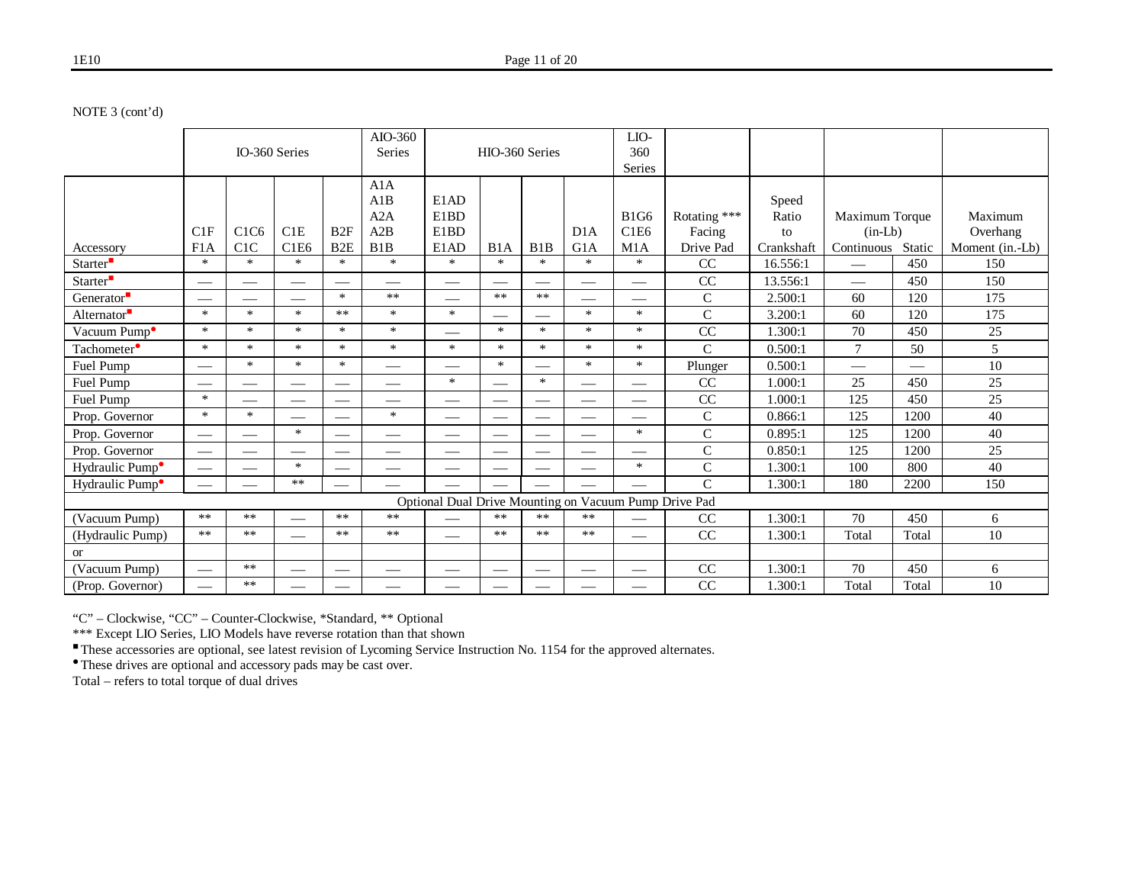NOTE 3 (cont'd)

|                             |                               |                               |                               |                  | AIO-360                       |                                                       |                          |        |                          | LIO-        |                |            |                          |        |                 |
|-----------------------------|-------------------------------|-------------------------------|-------------------------------|------------------|-------------------------------|-------------------------------------------------------|--------------------------|--------|--------------------------|-------------|----------------|------------|--------------------------|--------|-----------------|
|                             |                               | IO-360 Series                 |                               |                  | <b>Series</b>                 |                                                       | HIO-360 Series           |        |                          | 360         |                |            |                          |        |                 |
|                             |                               |                               |                               |                  |                               |                                                       |                          |        |                          | Series      |                |            |                          |        |                 |
|                             |                               |                               |                               |                  | A1A                           |                                                       |                          |        |                          |             |                |            |                          |        |                 |
|                             |                               |                               |                               |                  | A1B                           | E1AD                                                  |                          |        |                          |             |                | Speed      |                          |        |                 |
|                             |                               |                               |                               |                  | A2A                           | E1BD                                                  |                          |        |                          | <b>B1G6</b> | Rotating ***   | Ratio      | Maximum Torque           |        | Maximum         |
|                             | C1F                           | C <sub>1</sub> C <sub>6</sub> | C1E                           | B2F              | A2B                           | E1BD                                                  |                          |        | D1A                      | C1E6        | Facing         | to         | $(in-Lb)$                |        | Overhang        |
| Accessory                   | F1A                           | C1C                           | C1E6                          | B <sub>2</sub> E | B1B                           | E1AD                                                  | B1A                      | B1B    | G1A                      | M1A         | Drive Pad      | Crankshaft | Continuous               | Static | Moment (in.-Lb) |
| Starter <sup>-</sup>        | $\ast$                        | $\ast$                        | $\ast$                        | $\ast$           | $\ast$                        | $\ast$                                                | $\ast$                   | $\ast$ | $\ast$                   | $\ast$      | CC             | 16.556:1   |                          | 450    | 150             |
| Starter <sup>"</sup>        |                               | $\overline{\phantom{0}}$      |                               |                  |                               |                                                       |                          |        | $\overline{\phantom{0}}$ |             | CC             | 13.556:1   | $\overline{\phantom{0}}$ | 450    | 150             |
| Generator <sup>-</sup>      |                               |                               |                               | $\ast$           | **                            |                                                       | $***$                    | $***$  |                          |             | $\mathsf{C}$   | 2.500:1    | 60                       | 120    | 175             |
| Alternator <sup>®</sup>     | $\ast$                        | $\ast$                        | $\ast$                        | $***$            | $\ast$                        | $\ast$                                                |                          |        | $\ast$                   | $\ast$      | $\mathsf{C}$   | 3.200:1    | 60                       | 120    | 175             |
| Vacuum Pump <sup>o</sup>    | $\ast$                        | $\ast$                        | $\ast$                        | $\ast$           | $\ast$                        |                                                       | $\ast$                   | $\ast$ | $\ast$                   | $\ast$      | CC             | 1.300:1    | 70                       | 450    | 25              |
| Tachometer <sup>•</sup>     | $\ast$                        | $\ast$                        | $\ast$                        | $\ast$           | $\ast$                        | $\ast$                                                | $\ast$                   | $\ast$ | $\ast$                   | $\ast$      | $\mathcal{C}$  | 0.500:1    | $\tau$                   | 50     | 5               |
| Fuel Pump                   |                               | $\ast$                        | $\ast$                        | $\ast$           |                               |                                                       | $\ast$                   |        | $\ast$                   | $\ast$      | Plunger        | 0.500:1    |                          |        | 10              |
| Fuel Pump                   |                               |                               | $\overbrace{\phantom{12333}}$ |                  | $\overbrace{\phantom{12332}}$ | $\ast$                                                |                          | $\ast$ |                          |             | CC             | 1.000:1    | 25                       | 450    | 25              |
| Fuel Pump                   | $\ast$                        | --                            | $\overline{\phantom{0}}$      |                  | $\overline{\phantom{0}}$      |                                                       | $\overline{\phantom{a}}$ |        | $\overline{\phantom{0}}$ |             | CC             | 1.000:1    | 125                      | 450    | 25              |
| Prop. Governor              | $\ast$                        | $\ast$                        |                               |                  | $\ast$                        | $\hspace{0.05cm}$                                     |                          |        |                          |             | $\mathsf{C}$   | 0.866:1    | 125                      | 1200   | 40              |
| Prop. Governor              | $\overbrace{\phantom{12333}}$ |                               | $\ast$                        |                  |                               | $\overbrace{\phantom{12333}}$                         |                          |        |                          | $\ast$      | $\mathsf{C}$   | 0.895:1    | 125                      | 1200   | 40              |
| Prop. Governor              | $\overbrace{\phantom{12333}}$ |                               | $\overline{\phantom{0}}$      |                  |                               |                                                       |                          |        | $\overline{\phantom{0}}$ |             | $\mathsf{C}$   | 0.850:1    | 125                      | 1200   | 25              |
| Hydraulic Pump <sup>•</sup> | $\overbrace{\phantom{12333}}$ |                               | $\ast$                        |                  |                               |                                                       | —                        |        |                          | $\ast$      | $\mathsf{C}$   | 1.300:1    | 100                      | 800    | 40              |
| Hydraulic Pump <sup>•</sup> |                               |                               | $***$                         |                  |                               |                                                       |                          |        | $\overline{\phantom{0}}$ |             | $\overline{C}$ | 1.300:1    | 180                      | 2200   | 150             |
|                             |                               |                               |                               |                  |                               | Optional Dual Drive Mounting on Vacuum Pump Drive Pad |                          |        |                          |             |                |            |                          |        |                 |
| (Vacuum Pump)               | $***$                         | $***$                         |                               | $***$            | $***$                         |                                                       | $***$                    | $**$   | $**$                     |             | CC             | 1.300:1    | 70                       | 450    | 6               |
| (Hydraulic Pump)            | $***$                         | $***$                         |                               | $***$            | $***$                         | $\overline{\phantom{m}}$                              | $***$                    | $***$  | $***$                    |             | CC             | 1.300:1    | Total                    | Total  | 10              |
| <b>or</b>                   |                               |                               |                               |                  |                               |                                                       |                          |        |                          |             |                |            |                          |        |                 |
| (Vacuum Pump)               |                               | $***$                         |                               |                  |                               |                                                       |                          |        |                          |             | CC             | 1.300:1    | 70                       | 450    | 6               |
| (Prop. Governor)            |                               | $***$                         | --                            | __               |                               |                                                       | __                       |        |                          |             | CC             | 1.300:1    | Total                    | Total  | 10              |

"C" – Clockwise, "CC" – Counter-Clockwise, \*Standard, \*\* Optional

\*\*\* Except LIO Series, LIO Models have reverse rotation than that shown

These accessories are optional, see latest revision of Lycoming Service Instruction No. 1154 for the approved alternates.

These drives are optional and accessory pads may be cast over.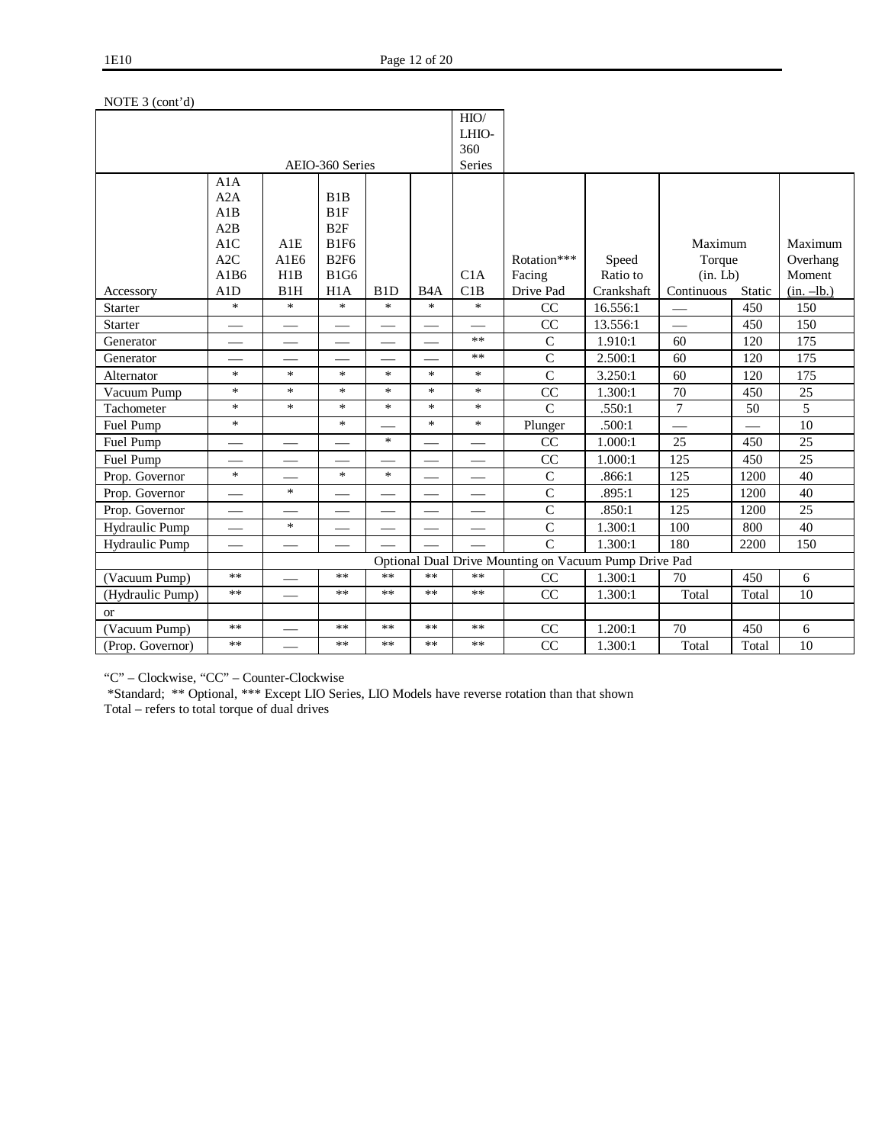|                  |             |                                |                            |                  |                  | HIO/                     |                                                       |                   |                |        |                    |
|------------------|-------------|--------------------------------|----------------------------|------------------|------------------|--------------------------|-------------------------------------------------------|-------------------|----------------|--------|--------------------|
|                  |             |                                |                            |                  |                  | LHIO-                    |                                                       |                   |                |        |                    |
|                  |             |                                |                            |                  |                  | 360                      |                                                       |                   |                |        |                    |
|                  |             |                                | AEIO-360 Series            |                  |                  | Series                   |                                                       |                   |                |        |                    |
|                  | A1A         |                                |                            |                  |                  |                          |                                                       |                   |                |        |                    |
|                  | A2A         |                                | B1B                        |                  |                  |                          |                                                       |                   |                |        |                    |
|                  | A1B         |                                | B1F                        |                  |                  |                          |                                                       |                   |                |        |                    |
|                  | A2B         |                                | B2F                        |                  |                  |                          |                                                       |                   |                |        |                    |
|                  | A1C         | A1E                            | <b>B1F6</b>                |                  |                  |                          |                                                       |                   | Maximum        |        | Maximum            |
|                  | A2C<br>A1B6 | A1E6<br>H1B                    | <b>B2F6</b><br><b>B1G6</b> |                  |                  | C1A                      | Rotation***                                           | Speed<br>Ratio to | Torque         |        | Overhang<br>Moment |
|                  |             | B1H                            |                            | B <sub>1</sub> D | B <sub>4</sub> A | C1B                      | Facing<br>Drive Pad                                   | Crankshaft        | (in. Lb)       |        |                    |
| Accessory        | A1D<br>*    | $\ast$                         | H1A<br>$\ast$              | $\ast$           | $\ast$           | $\ast$                   |                                                       |                   | Continuous     | Static | $(in. -lb.)$       |
| <b>Starter</b>   |             |                                |                            |                  |                  |                          | CC<br>CC                                              | 16.556:1          |                | 450    | 150                |
| <b>Starter</b>   |             | $\qquad \qquad \longleftarrow$ |                            |                  |                  | $\overline{\phantom{0}}$ |                                                       | 13.556:1          |                | 450    | 150                |
| Generator        |             |                                |                            |                  |                  | **                       | $\mathbf C$                                           | 1.910:1           | 60             | 120    | 175                |
| Generator        |             |                                |                            |                  |                  | $**$                     | $\mathsf{C}$                                          | 2.500:1           | 60             | 120    | 175                |
| Alternator       | $\ast$      | $\ast$                         | $\ast$                     | $\ast$           | $\ast$           | $\ast$                   | $\overline{C}$                                        | 3.250:1           | 60             | 120    | 175                |
| Vacuum Pump      | $\ast$      | $\ast$                         | $\ast$                     | $\ast$           | $\ast$           | $\ast$                   | CC                                                    | 1.300:1           | 70             | 450    | 25                 |
| Tachometer       | *           | $\ast$                         | $\ast$                     | $\ast$           | $\ast$           | $\ast$                   | $\mathsf{C}$                                          | .550:1            | $\overline{7}$ | 50     | 5                  |
| Fuel Pump        | $\ast$      |                                | $\ast$                     |                  | $\ast$           | $\ast$                   | Plunger                                               | .500:1            |                |        | $10\,$             |
| Fuel Pump        |             |                                |                            | $\ast$           |                  |                          | CC                                                    | 1.000:1           | 25             | 450    | 25                 |
| Fuel Pump        |             |                                |                            |                  |                  |                          | CC                                                    | 1.000:1           | 125            | 450    | 25                 |
| Prop. Governor   | $\ast$      |                                | $\ast$                     | $\ast$           |                  |                          | $\mathsf{C}$                                          | .866:1            | 125            | 1200   | 40                 |
| Prop. Governor   |             | $\ast$                         |                            |                  |                  | $\overline{\phantom{0}}$ | $\mathbf C$                                           | .895:1            | 125            | 1200   | 40                 |
| Prop. Governor   |             |                                | $\overline{\phantom{0}}$   |                  |                  |                          | $\mathsf{C}$                                          | .850:1            | 125            | 1200   | 25                 |
| Hydraulic Pump   |             | $\ast$                         |                            |                  |                  |                          | $\mathsf{C}$                                          | 1.300:1           | 100            | 800    | 40                 |
| Hydraulic Pump   |             |                                |                            |                  |                  |                          | $\mathsf{C}$                                          | 1.300:1           | 180            | 2200   | 150                |
|                  |             |                                |                            |                  |                  |                          | Optional Dual Drive Mounting on Vacuum Pump Drive Pad |                   |                |        |                    |
| (Vacuum Pump)    | $**$        |                                | $**$                       | $***$            | $***$            | $**$                     | CC                                                    | 1.300:1           | 70             | 450    | 6                  |
| (Hydraulic Pump) | $***$       |                                | **                         | $***$            | $***$            | **                       | CC                                                    | 1.300:1           | Total          | Total  | 10                 |
| <b>or</b>        |             |                                |                            |                  |                  |                          |                                                       |                   |                |        |                    |
| (Vacuum Pump)    | $**$        |                                | **                         | $***$            | $***$            | **                       | CC                                                    | 1.200:1           | 70             | 450    | 6                  |
| (Prop. Governor) | $**$        |                                | **                         | **               | **               | **                       | CC                                                    | 1.300:1           | Total          | Total  | 10                 |

## NOTE 3 (cont'd)

"C" – Clockwise, "CC" – Counter-Clockwise

\*Standard; \*\* Optional, \*\*\* Except LIO Series, LIO Models have reverse rotation than that shown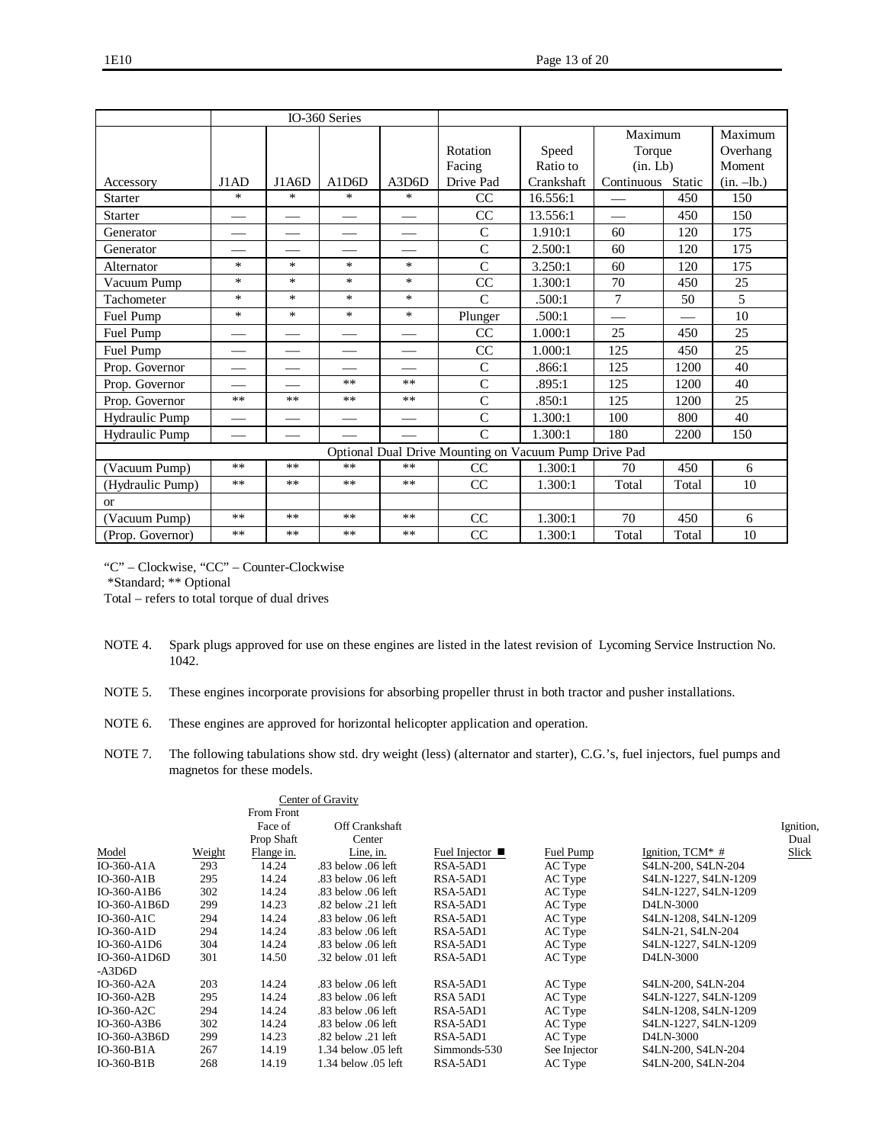|                  |        |        | IO-360 Series |        |                                                       |            |            |        |              |
|------------------|--------|--------|---------------|--------|-------------------------------------------------------|------------|------------|--------|--------------|
|                  |        |        |               |        |                                                       |            | Maximum    |        | Maximum      |
|                  |        |        |               |        | Rotation                                              | Speed      | Torque     |        | Overhang     |
|                  |        |        |               |        | Facing                                                | Ratio to   | (in. Lb)   |        | Moment       |
| Accessory        | J1AD   | J1A6D  | A1D6D         | A3D6D  | Drive Pad                                             | Crankshaft | Continuous | Static | $(in. -lb.)$ |
| <b>Starter</b>   | $\ast$ | $\ast$ | $\ast$        | $\ast$ | CC                                                    | 16.556:1   |            | 450    | 150          |
| <b>Starter</b>   |        |        |               |        | CC                                                    | 13.556:1   |            | 450    | 150          |
| Generator        |        |        |               |        | $\mathbf C$                                           | 1.910:1    | 60         | 120    | 175          |
| Generator        |        |        |               |        | $\mathsf{C}$                                          | 2.500:1    | 60         | 120    | 175          |
| Alternator       | $\ast$ | $\ast$ | $\ast$        | $\ast$ | $\mathcal{C}$                                         | 3.250:1    | 60         | 120    | 175          |
| Vacuum Pump      | $\ast$ | $\ast$ | $\ast$        | $\ast$ | CC                                                    | 1.300:1    | 70         | 450    | 25           |
| Tachometer       | $\ast$ | $\ast$ | $\ast$        | $\ast$ | $\mathcal{C}$                                         | .500:1     | 7          | 50     | 5            |
| Fuel Pump        | $\ast$ | $\ast$ | $\ast$        | $\ast$ | Plunger                                               | .500:1     |            |        | 10           |
| Fuel Pump        |        |        |               |        | CC                                                    | 1.000:1    | 25         | 450    | 25           |
| Fuel Pump        |        |        |               |        | CC                                                    | 1.000:1    | 125        | 450    | 25           |
| Prop. Governor   |        |        |               |        | $\mathsf{C}$                                          | .866:1     | 125        | 1200   | 40           |
| Prop. Governor   |        |        | $***$         | $***$  | $\overline{C}$                                        | .895:1     | 125        | 1200   | 40           |
| Prop. Governor   | $***$  | $***$  | $***$         | $***$  | $\overline{C}$                                        | .850:1     | 125        | 1200   | 25           |
| Hydraulic Pump   |        |        |               |        | $\overline{C}$                                        | 1.300:1    | 100        | 800    | 40           |
| Hydraulic Pump   |        |        |               |        | $\mathcal{C}$                                         | 1.300:1    | 180        | 2200   | 150          |
|                  |        |        |               |        | Optional Dual Drive Mounting on Vacuum Pump Drive Pad |            |            |        |              |
| (Vacuum Pump)    | $***$  | $***$  | $***$         | $***$  | CC                                                    | 1.300:1    | 70         | 450    | 6            |
| (Hydraulic Pump) | $***$  | $***$  | $***$         | $***$  | CC                                                    | 1.300:1    | Total      | Total  | 10           |
| $\alpha$         |        |        |               |        |                                                       |            |            |        |              |
| (Vacuum Pump)    | $***$  | **     | $***$         | $***$  | CC                                                    | 1.300:1    | 70         | 450    | 6            |
| (Prop. Governor) | $***$  | **     | $***$         | $***$  | CC                                                    | 1.300:1    | Total      | Total  | 10           |

"C" – Clockwise, "CC" – Counter-Clockwise

\*Standard; \*\* Optional

- NOTE 4. Spark plugs approved for use on these engines are listed in the latest revision of Lycoming Service Instruction No. 1042.
- NOTE 5. These engines incorporate provisions for absorbing propeller thrust in both tractor and pusher installations.
- NOTE 6. These engines are approved for horizontal helicopter application and operation.
- NOTE 7. The following tabulations show std. dry weight (less) (alternator and starter), C.G.'s, fuel injectors, fuel pumps and magnetos for these models.

|                 |        |            | Center of Gravity    |                              |              |                      |           |
|-----------------|--------|------------|----------------------|------------------------------|--------------|----------------------|-----------|
|                 |        | From Front |                      |                              |              |                      |           |
|                 |        | Face of    | Off Crankshaft       |                              |              |                      | Ignition, |
|                 |        | Prop Shaft | Center               |                              |              |                      | Dual      |
| Model           | Weight | Flange in. | Line, in.            | Fuel Injector $\blacksquare$ | Fuel Pump    | Ignition, TCM* #     | Slick     |
| $IO-360- A1A$   | 293    | 14.24      | .83 below .06 left   | RSA-5AD1                     | AC Type      | S4LN-200, S4LN-204   |           |
| $IO-360-AIB$    | 295    | 14.24      | .83 below .06 left   | RSA-5AD1                     | AC Type      | S4LN-1227, S4LN-1209 |           |
| $IO-360-AIB6$   | 302    | 14.24      | .83 below .06 left   | RSA-5AD1                     | AC Type      | S4LN-1227, S4LN-1209 |           |
| $IO-360-AIB6D$  | 299    | 14.23      | .82 below .21 left   | RSA-5AD1                     | AC Type      | D4LN-3000            |           |
| $IO-360-AIC$    | 294    | 14.24      | .83 below .06 left   | RSA-5AD1                     | AC Type      | S4LN-1208, S4LN-1209 |           |
| $IO-360-AID$    | 294    | 14.24      | .83 below .06 left   | RSA-5AD1                     | AC Type      | S4LN-21, S4LN-204    |           |
| $IO-360-AID6$   | 304    | 14.24      | .83 below .06 left   | RSA-5AD1                     | AC Type      | S4LN-1227, S4LN-1209 |           |
| $IO-360-AID6D$  | 301    | 14.50      | .32 below $.01$ left | RSA-5AD1                     | AC Type      | D4LN-3000            |           |
| $-A3D6D$        |        |            |                      |                              |              |                      |           |
| $IO-360- A2A$   | 203    | 14.24      | .83 below .06 left   | RSA-5AD1                     | AC Type      | S4LN-200, S4LN-204   |           |
| $IO-360- A2B$   | 295    | 14.24      | .83 below .06 left   | RSA 5AD1                     | AC Type      | S4LN-1227, S4LN-1209 |           |
| $IO-360- A2C$   | 294    | 14.24      | .83 below .06 left   | RSA-5AD1                     | AC Type      | S4LN-1208, S4LN-1209 |           |
| IO-360-A3B6     | 302    | 14.24      | .83 below .06 left   | RSA-5AD1                     | AC Type      | S4LN-1227, S4LN-1209 |           |
| $IO-360- A3B6D$ | 299    | 14.23      | .82 below .21 left   | RSA-5AD1                     | AC Type      | D4LN-3000            |           |
| $IO-360-B1A$    | 267    | 14.19      | 1.34 below 0.5 left  | Simmonds-530                 | See Injector | S4LN-200, S4LN-204   |           |
| $IO-360-B1B$    | 268    | 14.19      | 1.34 below 0.5 left  | RSA-5AD1                     | AC Type      | S4LN-200, S4LN-204   |           |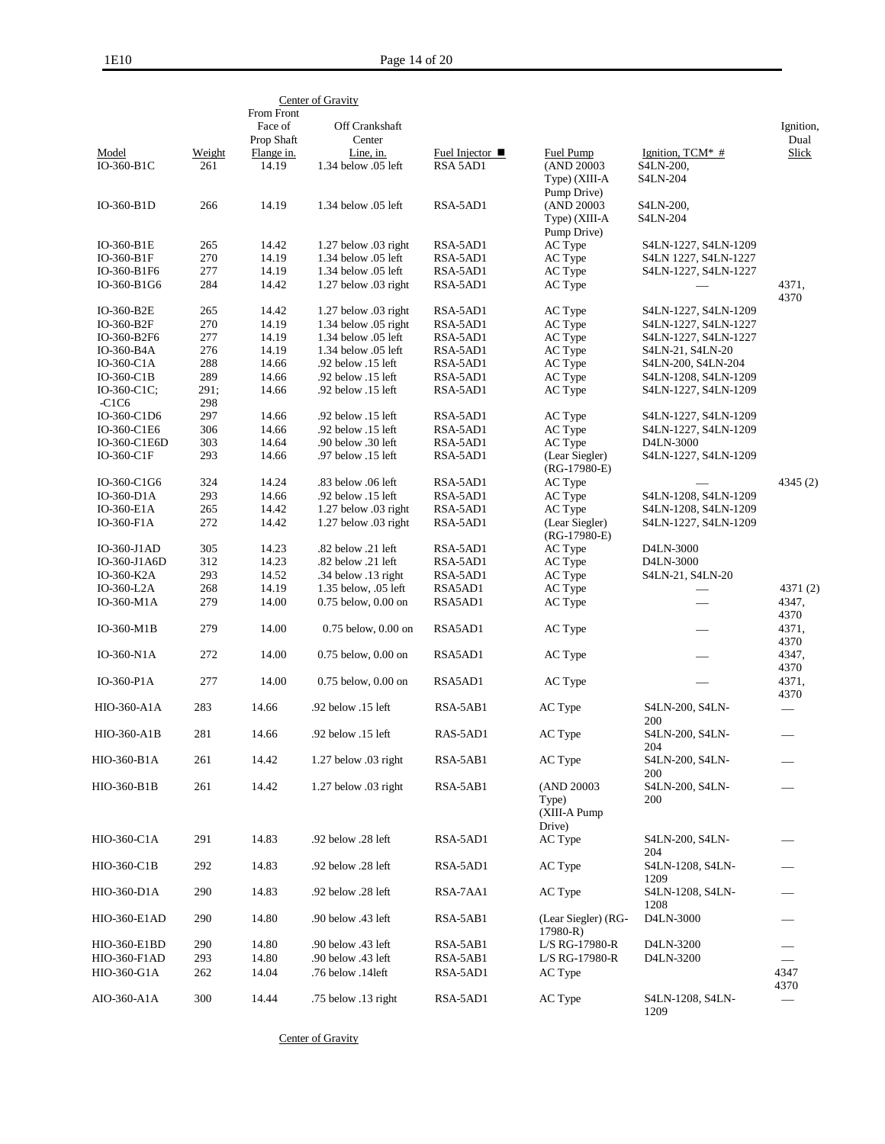|                            |             | From Front            | Center of Gravity                           |                              |                                                |                          |                                  |
|----------------------------|-------------|-----------------------|---------------------------------------------|------------------------------|------------------------------------------------|--------------------------|----------------------------------|
|                            |             | Face of<br>Prop Shaft | Off Crankshaft<br>Center                    |                              |                                                |                          | Ignition,<br>Dual                |
| Model                      | Weight      | Flange in.            | Line, in.                                   | Fuel Injector $\blacksquare$ | Fuel Pump                                      | Ignition, $TCM^*$ #      | Slick                            |
| IO-360-B1C                 | 261         | 14.19                 | 1.34 below .05 left                         | RSA 5AD1                     | (AND 20003                                     | S4LN-200,                |                                  |
|                            |             |                       |                                             |                              | Type) (XIII-A                                  | S4LN-204                 |                                  |
| IO-360-B1D                 | 266         | 14.19                 | 1.34 below .05 left                         | RSA-5AD1                     | Pump Drive)<br>(AND 20003)                     |                          |                                  |
|                            |             |                       |                                             |                              | Type) (XIII-A                                  | S4LN-200,<br>S4LN-204    |                                  |
|                            |             |                       |                                             |                              | Pump Drive)                                    |                          |                                  |
| IO-360-B1E                 | 265         | 14.42                 | 1.27 below .03 right                        | RSA-5AD1                     | AC Type                                        | S4LN-1227, S4LN-1209     |                                  |
| IO-360-B1F                 | 270         | 14.19                 | 1.34 below .05 left                         | RSA-5AD1                     | AC Type                                        | S4LN 1227, S4LN-1227     |                                  |
| IO-360-B1F6                | 277         | 14.19                 | 1.34 below .05 left                         | RSA-5AD1                     | AC Type                                        | S4LN-1227, S4LN-1227     |                                  |
| IO-360-B1G6                | 284         | 14.42                 | $1.27$ below $.03$ right                    | RSA-5AD1                     | AC Type                                        |                          | 4371,<br>4370                    |
| IO-360-B2E                 | 265         | 14.42                 | 1.27 below .03 right                        | RSA-5AD1                     | AC Type                                        | S4LN-1227, S4LN-1209     |                                  |
| IO-360-B2F                 | 270         | 14.19                 | 1.34 below .05 right                        | RSA-5AD1                     | AC Type                                        | S4LN-1227, S4LN-1227     |                                  |
| IO-360-B2F6                | 277         | 14.19                 | 1.34 below .05 left                         | RSA-5AD1                     | AC Type                                        | S4LN-1227, S4LN-1227     |                                  |
| IO-360-B4A                 | 276         | 14.19                 | 1.34 below .05 left                         | RSA-5AD1                     | AC Type                                        | S4LN-21, S4LN-20         |                                  |
| $IO-360-ClA$               | 288         | 14.66                 | .92 below .15 left                          | RSA-5AD1                     | AC Type                                        | S4LN-200, S4LN-204       |                                  |
| $IO-360-ClB$               | 289         | 14.66                 | .92 below .15 left                          | RSA-5AD1                     | AC Type                                        | S4LN-1208, S4LN-1209     |                                  |
| IO-360-C1C;<br>$-C1C6$     | 291;<br>298 | 14.66                 | .92 below .15 left                          | RSA-5AD1                     | AC Type                                        | S4LN-1227, S4LN-1209     |                                  |
| IO-360-C1D6                | 297         | 14.66                 | .92 below .15 left                          | RSA-5AD1                     | AC Type                                        | S4LN-1227, S4LN-1209     |                                  |
| IO-360-C1E6                | 306         | 14.66                 | .92 below .15 left                          | RSA-5AD1                     | AC Type                                        | S4LN-1227, S4LN-1209     |                                  |
| IO-360-C1E6D               | 303         | 14.64                 | .90 below .30 left                          | RSA-5AD1                     | AC Type                                        | D4LN-3000                |                                  |
| IO-360-C1F                 | 293         | 14.66                 | .97 below .15 left                          | RSA-5AD1                     | (Lear Siegler)                                 | S4LN-1227, S4LN-1209     |                                  |
|                            |             |                       |                                             |                              | $(RG-17980-E)$                                 |                          |                                  |
| IO-360-C1G6                | 324         | 14.24                 | .83 below .06 left                          | RSA-5AD1                     | AC Type                                        |                          | 4345 (2)                         |
| IO-360-D1A                 | 293         | 14.66                 | .92 below .15 left                          | RSA-5AD1                     | AC Type                                        | S4LN-1208, S4LN-1209     |                                  |
| IO-360-E1A                 | 265         | 14.42                 | $1.27$ below $.03$ right                    | RSA-5AD1                     | AC Type                                        | S4LN-1208, S4LN-1209     |                                  |
| IO-360-F1A                 | 272         | 14.42                 | $1.27$ below $.03$ right                    | RSA-5AD1                     | (Lear Siegler)<br>$(RG-17980-E)$               | S4LN-1227, S4LN-1209     |                                  |
| $IO-360-J1AD$              | 305         | 14.23                 | .82 below .21 left                          | RSA-5AD1                     | AC Type                                        | D4LN-3000                |                                  |
| IO-360-J1A6D               | 312         | 14.23                 | .82 below .21 left                          | RSA-5AD1                     | AC Type                                        | D4LN-3000                |                                  |
| IO-360-K2A<br>$IO-360-L2A$ | 293<br>268  | 14.52<br>14.19        | .34 below .13 right<br>1.35 below, .05 left | RSA-5AD1<br>RSA5AD1          | AC Type<br>AC Type                             | S4LN-21, S4LN-20         | 4371(2)                          |
| IO-360-M1A                 | 279         | 14.00                 | $0.75$ below, $0.00$ on                     | RSA5AD1                      | AC Type                                        |                          | 4347,                            |
|                            |             |                       |                                             |                              |                                                |                          | 4370                             |
| IO-360-M1B                 | 279         | 14.00                 | $0.75$ below, $0.00$ on                     | RSA5AD1                      | AC Type                                        |                          | 4371,<br>4370                    |
| IO-360-N1A                 | 272         | 14.00                 | $0.75$ below, $0.00$ on                     | RSA5AD1                      | AC Type                                        |                          | 4347,<br>4370                    |
| $IO-360-PIA$               | 277         | 14.00                 | 0.75 below, 0.00 on                         | RSA5AD1                      | AC Type                                        |                          | 4371,<br>4370                    |
| HIO-360-A1A                | 283         | 14.66                 | .92 below .15 left                          | RSA-5AB1                     | AC Type                                        | S4LN-200, S4LN-<br>200   | $\overline{\phantom{0}}$         |
| HIO-360-A1B                | 281         | 14.66                 | .92 below .15 left                          | RAS-5AD1                     | AC Type                                        | S4LN-200, S4LN-<br>204   |                                  |
| HIO-360-B1A                | 261         | 14.42                 | 1.27 below .03 right                        | RSA-5AB1                     | AC Type                                        | S4LN-200, S4LN-<br>200   |                                  |
| HIO-360-B1B                | 261         | 14.42                 | $1.27$ below $.03$ right                    | RSA-5AB1                     | (AND 20003)<br>Type)<br>(XIII-A Pump<br>Drive) | S4LN-200, S4LN-<br>200   |                                  |
| HIO-360-C1A                | 291         | 14.83                 | .92 below .28 left                          | RSA-5AD1                     | AC Type                                        | S4LN-200, S4LN-<br>204   |                                  |
| HIO-360-C1B                | 292         | 14.83                 | .92 below .28 left                          | RSA-5AD1                     | AC Type                                        | S4LN-1208, S4LN-<br>1209 |                                  |
| HIO-360-D1A                | 290         | 14.83                 | .92 below .28 left                          | RSA-7AA1                     | AC Type                                        | S4LN-1208, S4LN-<br>1208 |                                  |
| <b>HIO-360-E1AD</b>        | 290         | 14.80                 | .90 below .43 left                          | RSA-5AB1                     | (Lear Siegler) (RG-<br>$17980-R$               | D4LN-3000                |                                  |
| HIO-360-E1BD               | 290         | 14.80                 | .90 below .43 left                          | RSA-5AB1                     | L/S RG-17980-R                                 | D4LN-3200                |                                  |
| HIO-360-F1AD               | 293         | 14.80                 | .90 below .43 left                          | RSA-5AB1                     | L/S RG-17980-R                                 | D4LN-3200                |                                  |
| HIO-360-G1A                | 262         | 14.04                 | .76 below .141eft                           | RSA-5AD1                     | AC Type                                        |                          | 4347                             |
| AIO-360-A1A                | 300         | 14.44                 | .75 below .13 right                         | RSA-5AD1                     | AC Type                                        | S4LN-1208, S4LN-<br>1209 | 4370<br>$\overline{\phantom{0}}$ |

Center of Gravity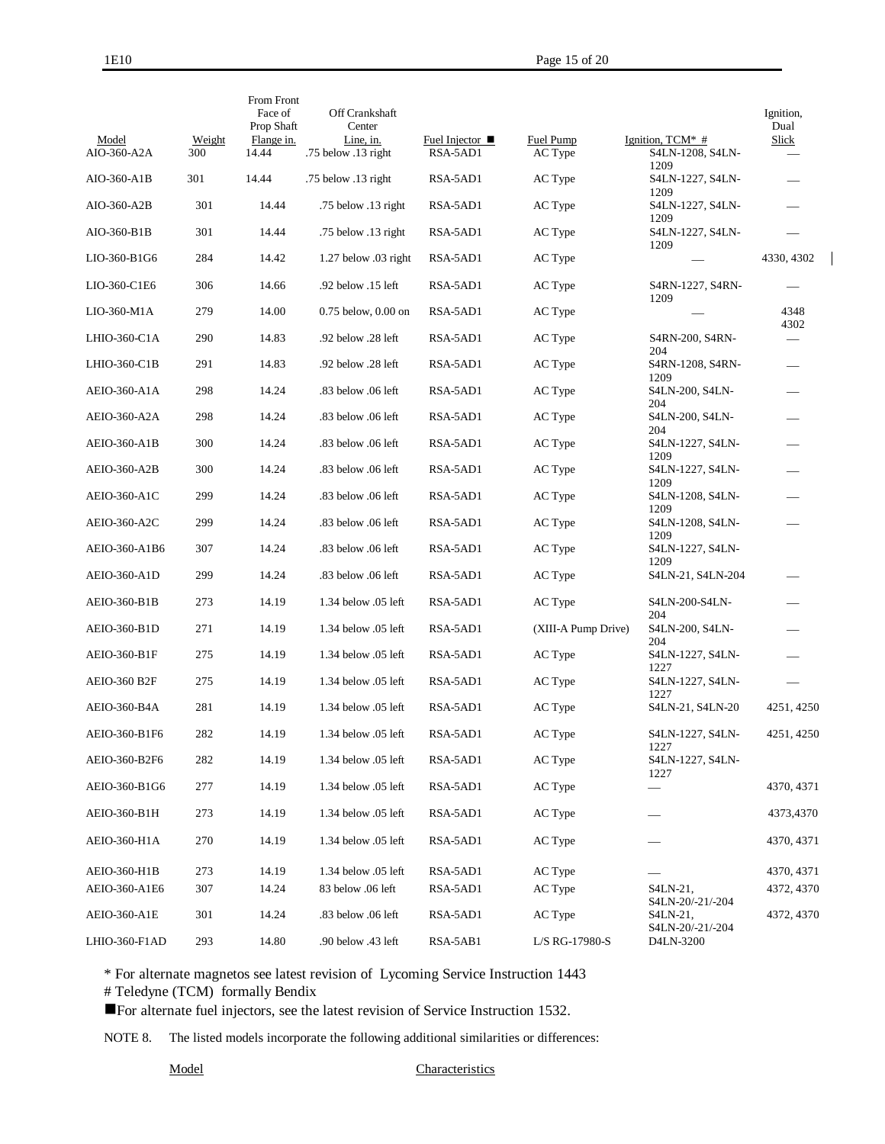$\overline{\phantom{a}}$ 

| Model<br>AIO-360-A2A | Weight<br>300 | From Front<br>Face of<br>Prop Shaft<br>Flange in.<br>14.44 | Off Crankshaft<br>Center<br>Line, in.<br>.75 below .13 right | Fuel Injector $\blacksquare$<br>RSA-5AD1 | Fuel Pump<br>AC Type | Ignition, $TCM^*$ #<br>S4LN-1208, S4LN- | Ignition,<br>Dual<br>Slick |
|----------------------|---------------|------------------------------------------------------------|--------------------------------------------------------------|------------------------------------------|----------------------|-----------------------------------------|----------------------------|
| AIO-360-A1B          | 301           | 14.44                                                      | .75 below .13 right                                          | RSA-5AD1                                 | AC Type              | 1209<br>S4LN-1227, S4LN-                |                            |
| AIO-360-A2B          | 301           | 14.44                                                      | .75 below .13 right                                          | RSA-5AD1                                 | AC Type              | 1209<br>S4LN-1227, S4LN-                |                            |
| AIO-360-B1B          | 301           | 14.44                                                      | .75 below .13 right                                          | RSA-5AD1                                 | AC Type              | 1209<br>S4LN-1227, S4LN-                |                            |
| LIO-360-B1G6         | 284           | 14.42                                                      |                                                              | RSA-5AD1                                 |                      | 1209                                    | 4330, 4302                 |
|                      |               |                                                            | $1.27$ below $.03$ right                                     |                                          | AC Type              |                                         |                            |
| LIO-360-C1E6         | 306           | 14.66                                                      | .92 below .15 left                                           | RSA-5AD1                                 | AC Type              | S4RN-1227, S4RN-<br>1209                |                            |
| LIO-360-M1A          | 279           | 14.00                                                      | $0.75$ below, $0.00$ on                                      | RSA-5AD1                                 | AC Type              |                                         | 4348<br>4302               |
| LHIO-360-C1A         | 290           | 14.83                                                      | .92 below .28 left                                           | RSA-5AD1                                 | AC Type              | S4RN-200, S4RN-<br>204                  |                            |
| LHIO-360-C1B         | 291           | 14.83                                                      | .92 below .28 left                                           | RSA-5AD1                                 | AC Type              | S4RN-1208, S4RN-<br>1209                |                            |
| <b>AEIO-360-A1A</b>  | 298           | 14.24                                                      | .83 below .06 left                                           | RSA-5AD1                                 | AC Type              | S4LN-200, S4LN-<br>204                  |                            |
| AEIO-360-A2A         | 298           | 14.24                                                      | .83 below .06 left                                           | RSA-5AD1                                 | AC Type              | S4LN-200, S4LN-<br>204                  |                            |
| <b>AEIO-360-A1B</b>  | 300           | 14.24                                                      | .83 below .06 left                                           | RSA-5AD1                                 | AC Type              | S4LN-1227, S4LN-                        |                            |
| AEIO-360-A2B         | 300           | 14.24                                                      | .83 below .06 left                                           | RSA-5AD1                                 | AC Type              | 1209<br>S4LN-1227, S4LN-                |                            |
| AEIO-360-A1C         | 299           | 14.24                                                      | .83 below .06 left                                           | RSA-5AD1                                 | AC Type              | 1209<br>S4LN-1208, S4LN-                |                            |
| AEIO-360-A2C         | 299           | 14.24                                                      | .83 below .06 left                                           | RSA-5AD1                                 | AC Type              | 1209<br>S4LN-1208, S4LN-                |                            |
| AEIO-360-A1B6        | 307           | 14.24                                                      | .83 below .06 left                                           | RSA-5AD1                                 | AC Type              | 1209<br>S4LN-1227, S4LN-                |                            |
| <b>AEIO-360-A1D</b>  | 299           | 14.24                                                      | .83 below .06 left                                           | RSA-5AD1                                 | AC Type              | 1209<br>S4LN-21, S4LN-204               |                            |
| AEIO-360-B1B         | 273           | 14.19                                                      | 1.34 below .05 left                                          | RSA-5AD1                                 | AC Type              | S4LN-200-S4LN-                          |                            |
| AEIO-360-B1D         | 271           | 14.19                                                      | 1.34 below .05 left                                          | RSA-5AD1                                 | (XIII-A Pump Drive)  | 204<br>S4LN-200, S4LN-                  |                            |
| AEIO-360-B1F         | 275           | 14.19                                                      | 1.34 below .05 left                                          | RSA-5AD1                                 | AC Type              | 204<br>S4LN-1227, S4LN-                 |                            |
| AEIO-360 B2F         | 275           | 14.19                                                      | 1.34 below .05 left                                          | RSA-5AD1                                 | AC Type              | 1227<br>S4LN-1227, S4LN-                |                            |
| AEIO-360-B4A         | 281           | 14.19                                                      | 1.34 below 0.5 left                                          | RSA-5AD1                                 | AC Type              | 1227<br>S4LN-21, S4LN-20                | 4251, 4250                 |
| AEIO-360-B1F6        | 282           | 14.19                                                      | 1.34 below 0.5 left                                          | RSA-5AD1                                 | AC Type              | S4LN-1227, S4LN-                        | 4251, 4250                 |
| AEIO-360-B2F6        | 282           | 14.19                                                      | 1.34 below .05 left                                          | RSA-5AD1                                 | AC Type              | 1227<br>S4LN-1227, S4LN-                |                            |
| AEIO-360-B1G6        | 277           | 14.19                                                      | 1.34 below .05 left                                          | RSA-5AD1                                 | AC Type              | 1227                                    | 4370, 4371                 |
| AEIO-360-B1H         | 273           | 14.19                                                      | 1.34 below .05 left                                          | RSA-5AD1                                 | AC Type              |                                         | 4373,4370                  |
| AEIO-360-H1A         | 270           | 14.19                                                      | 1.34 below .05 left                                          | RSA-5AD1                                 | AC Type              |                                         | 4370, 4371                 |
| AEIO-360-H1B         | 273           | 14.19                                                      | 1.34 below .05 left                                          | RSA-5AD1                                 | AC Type              |                                         | 4370, 4371                 |
| AEIO-360-A1E6        | 307           | 14.24                                                      | 83 below .06 left                                            | RSA-5AD1                                 | AC Type              | S4LN-21,<br>S4LN-20/-21/-204            | 4372, 4370                 |
| AEIO-360-A1E         | 301           | 14.24                                                      | .83 below .06 left                                           | RSA-5AD1                                 | AC Type              | S4LN-21,                                | 4372, 4370                 |
| LHIO-360-F1AD        | 293           | 14.80                                                      | .90 below .43 left                                           | RSA-5AB1                                 | L/S RG-17980-S       | S4LN-20/-21/-204<br>D4LN-3200           |                            |

\* For alternate magnetos see latest revision of Lycoming Service Instruction 1443

# Teledyne (TCM) formally Bendix

For alternate fuel injectors, see the latest revision of Service Instruction 1532.

NOTE 8. The listed models incorporate the following additional similarities or differences: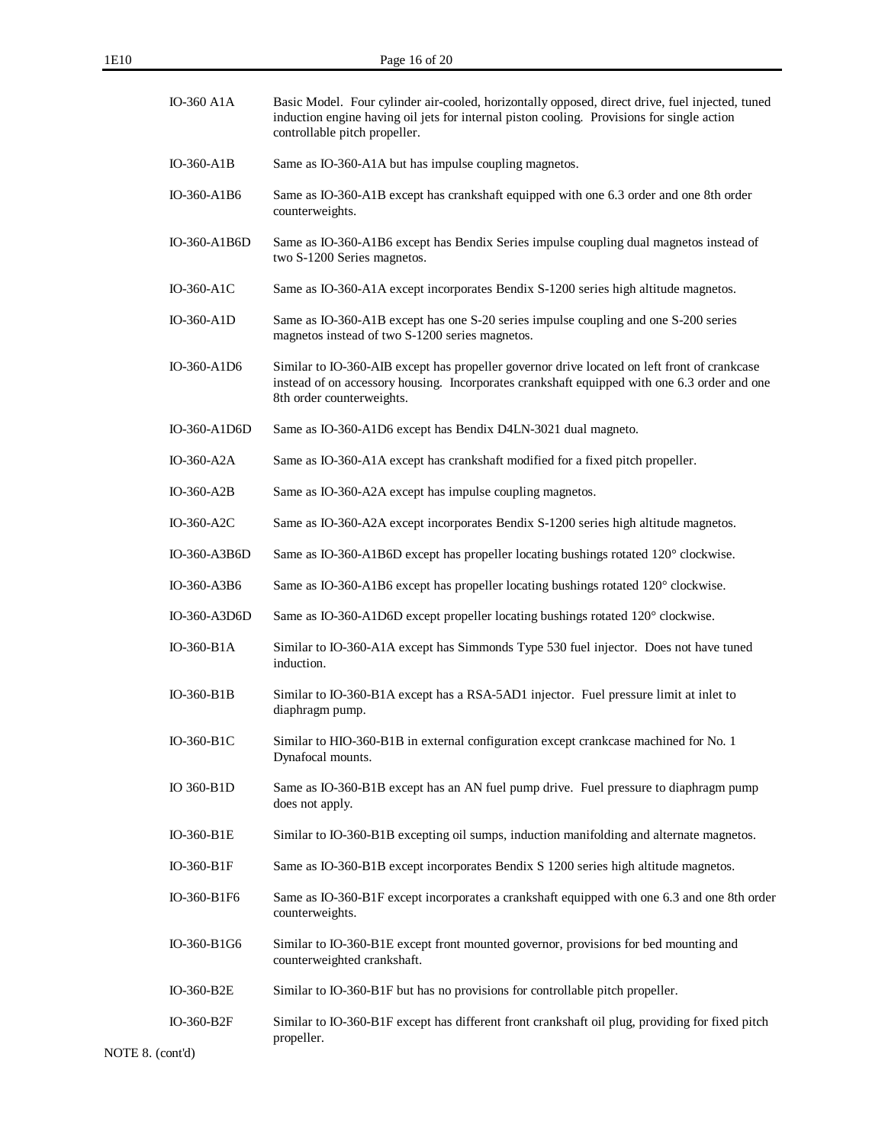| <b>IO-360 A1A</b> | Basic Model. Four cylinder air-cooled, horizontally opposed, direct drive, fuel injected, tuned<br>induction engine having oil jets for internal piston cooling. Provisions for single action<br>controllable pitch propeller. |
|-------------------|--------------------------------------------------------------------------------------------------------------------------------------------------------------------------------------------------------------------------------|
| $IO-360-AIB$      | Same as IO-360-A1A but has impulse coupling magnetos.                                                                                                                                                                          |
| IO-360-A1B6       | Same as IO-360-A1B except has crankshaft equipped with one 6.3 order and one 8th order<br>counterweights.                                                                                                                      |
| IO-360-A1B6D      | Same as IO-360-A1B6 except has Bendix Series impulse coupling dual magnetos instead of<br>two S-1200 Series magnetos.                                                                                                          |
| IO-360-A1C        | Same as IO-360-A1A except incorporates Bendix S-1200 series high altitude magnetos.                                                                                                                                            |
| IO-360-A1D        | Same as IO-360-A1B except has one S-20 series impulse coupling and one S-200 series<br>magnetos instead of two S-1200 series magnetos.                                                                                         |
| IO-360-A1D6       | Similar to IO-360-AIB except has propeller governor drive located on left front of crankcase<br>instead of on accessory housing. Incorporates crankshaft equipped with one 6.3 order and one<br>8th order counterweights.      |
| IO-360-A1D6D      | Same as IO-360-A1D6 except has Bendix D4LN-3021 dual magneto.                                                                                                                                                                  |
| IO-360-A2A        | Same as IO-360-A1A except has crankshaft modified for a fixed pitch propeller.                                                                                                                                                 |
| $IO-360- A2B$     | Same as IO-360-A2A except has impulse coupling magnetos.                                                                                                                                                                       |
| IO-360-A2C        | Same as IO-360-A2A except incorporates Bendix S-1200 series high altitude magnetos.                                                                                                                                            |
| IO-360-A3B6D      | Same as IO-360-A1B6D except has propeller locating bushings rotated 120° clockwise.                                                                                                                                            |
| IO-360-A3B6       | Same as IO-360-A1B6 except has propeller locating bushings rotated 120° clockwise.                                                                                                                                             |
| IO-360-A3D6D      | Same as IO-360-A1D6D except propeller locating bushings rotated 120° clockwise.                                                                                                                                                |
| IO-360-B1A        | Similar to IO-360-A1A except has Simmonds Type 530 fuel injector. Does not have tuned<br>induction.                                                                                                                            |
| $IO-360-B1B$      | Similar to IO-360-B1A except has a RSA-5AD1 injector. Fuel pressure limit at inlet to<br>diaphragm pump.                                                                                                                       |
| IO-360-B1C        | Similar to HIO-360-B1B in external configuration except crankcase machined for No. 1<br>Dynafocal mounts.                                                                                                                      |
| IO 360-B1D        | Same as IO-360-B1B except has an AN fuel pump drive. Fuel pressure to diaphragm pump<br>does not apply.                                                                                                                        |
| IO-360-B1E        | Similar to IO-360-B1B excepting oil sumps, induction manifolding and alternate magnetos.                                                                                                                                       |
| IO-360-B1F        | Same as IO-360-B1B except incorporates Bendix S 1200 series high altitude magnetos.                                                                                                                                            |
| IO-360-B1F6       | Same as IO-360-B1F except incorporates a crankshaft equipped with one 6.3 and one 8th order<br>counterweights.                                                                                                                 |
| IO-360-B1G6       | Similar to IO-360-B1E except front mounted governor, provisions for bed mounting and<br>counterweighted crankshaft.                                                                                                            |
| IO-360-B2E        | Similar to IO-360-B1F but has no provisions for controllable pitch propeller.                                                                                                                                                  |
| IO-360-B2F        | Similar to IO-360-B1F except has different front crankshaft oil plug, providing for fixed pitch<br>propeller.                                                                                                                  |

NOTE 8. (cont'd)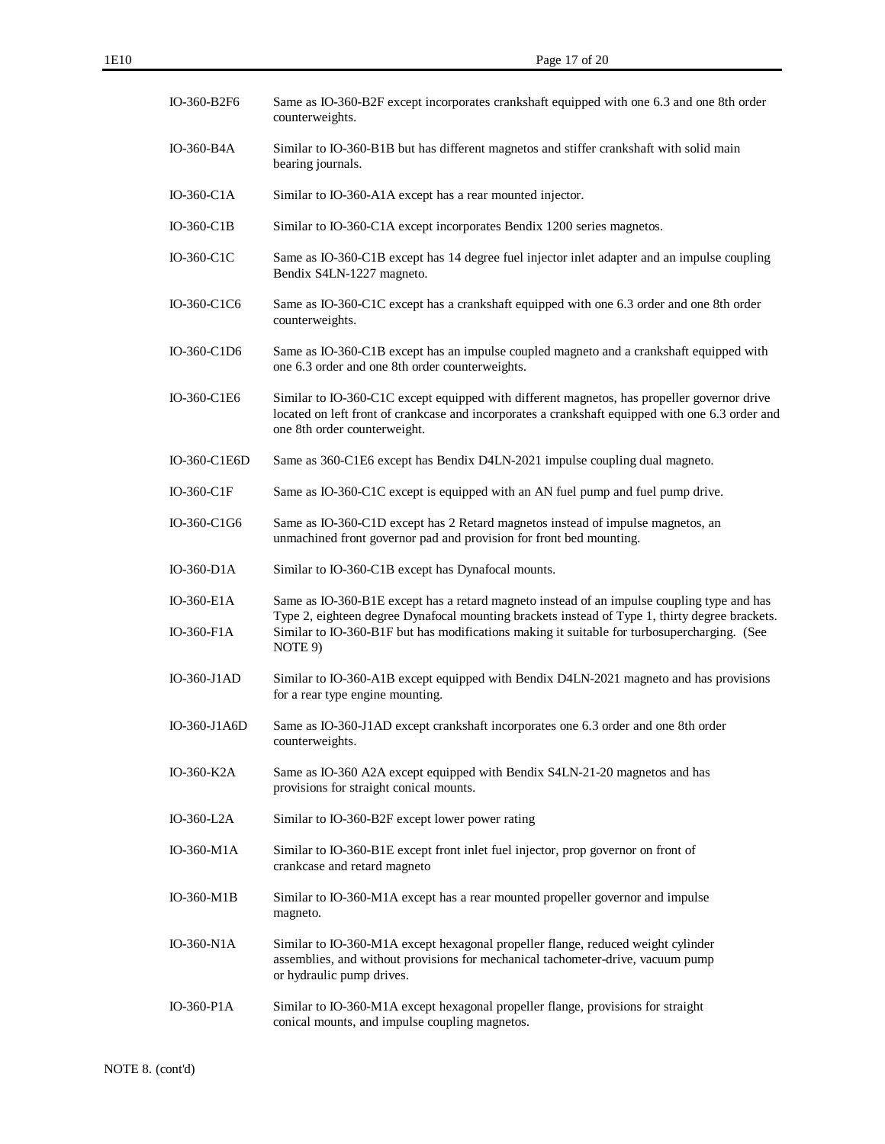| IO-360-B2F6              | Same as IO-360-B2F except incorporates crankshaft equipped with one 6.3 and one 8th order<br>counterweights.                                                                                                                                                                                           |
|--------------------------|--------------------------------------------------------------------------------------------------------------------------------------------------------------------------------------------------------------------------------------------------------------------------------------------------------|
| IO-360-B4A               | Similar to IO-360-B1B but has different magnetos and stiffer crankshaft with solid main<br>bearing journals.                                                                                                                                                                                           |
| IO-360-C1A               | Similar to IO-360-A1A except has a rear mounted injector.                                                                                                                                                                                                                                              |
| $IO-360-ClB$             | Similar to IO-360-C1A except incorporates Bendix 1200 series magnetos.                                                                                                                                                                                                                                 |
| IO-360-C1C               | Same as IO-360-C1B except has 14 degree fuel injector inlet adapter and an impulse coupling<br>Bendix S4LN-1227 magneto.                                                                                                                                                                               |
| IO-360-C1C6              | Same as IO-360-C1C except has a crankshaft equipped with one 6.3 order and one 8th order<br>counterweights.                                                                                                                                                                                            |
| IO-360-C1D6              | Same as IO-360-C1B except has an impulse coupled magneto and a crankshaft equipped with<br>one 6.3 order and one 8th order counterweights.                                                                                                                                                             |
| IO-360-C1E6              | Similar to IO-360-C1C except equipped with different magnetos, has propeller governor drive<br>located on left front of crankcase and incorporates a crankshaft equipped with one 6.3 order and<br>one 8th order counterweight.                                                                        |
| IO-360-C1E6D             | Same as 360-C1E6 except has Bendix D4LN-2021 impulse coupling dual magneto.                                                                                                                                                                                                                            |
| IO-360-C1F               | Same as IO-360-C1C except is equipped with an AN fuel pump and fuel pump drive.                                                                                                                                                                                                                        |
| IO-360-C1G6              | Same as IO-360-C1D except has 2 Retard magnetos instead of impulse magnetos, an<br>unmachined front governor pad and provision for front bed mounting.                                                                                                                                                 |
| $IO-360-D1A$             | Similar to IO-360-C1B except has Dynafocal mounts.                                                                                                                                                                                                                                                     |
| IO-360-E1A<br>IO-360-F1A | Same as IO-360-B1E except has a retard magneto instead of an impulse coupling type and has<br>Type 2, eighteen degree Dynafocal mounting brackets instead of Type 1, thirty degree brackets.<br>Similar to IO-360-B1F but has modifications making it suitable for turbosupercharging. (See<br>NOTE 9) |
| $IO-360-J1AD$            | Similar to IO-360-A1B except equipped with Bendix D4LN-2021 magneto and has provisions<br>for a rear type engine mounting.                                                                                                                                                                             |
| IO-360-J1A6D             | Same as IO-360-J1AD except crankshaft incorporates one 6.3 order and one 8th order<br>counterweights.                                                                                                                                                                                                  |
| IO-360-K2A               | Same as IO-360 A2A except equipped with Bendix S4LN-21-20 magnetos and has<br>provisions for straight conical mounts.                                                                                                                                                                                  |
| IO-360-L2A               | Similar to IO-360-B2F except lower power rating                                                                                                                                                                                                                                                        |
| IO-360-M1A               | Similar to IO-360-B1E except front inlet fuel injector, prop governor on front of<br>crankcase and retard magneto                                                                                                                                                                                      |
| IO-360-M1B               | Similar to IO-360-M1A except has a rear mounted propeller governor and impulse<br>magneto.                                                                                                                                                                                                             |
| IO-360-N1A               | Similar to IO-360-M1A except hexagonal propeller flange, reduced weight cylinder<br>assemblies, and without provisions for mechanical tachometer-drive, vacuum pump<br>or hydraulic pump drives.                                                                                                       |
| $IO-360-PIA$             | Similar to IO-360-M1A except hexagonal propeller flange, provisions for straight<br>conical mounts, and impulse coupling magnetos.                                                                                                                                                                     |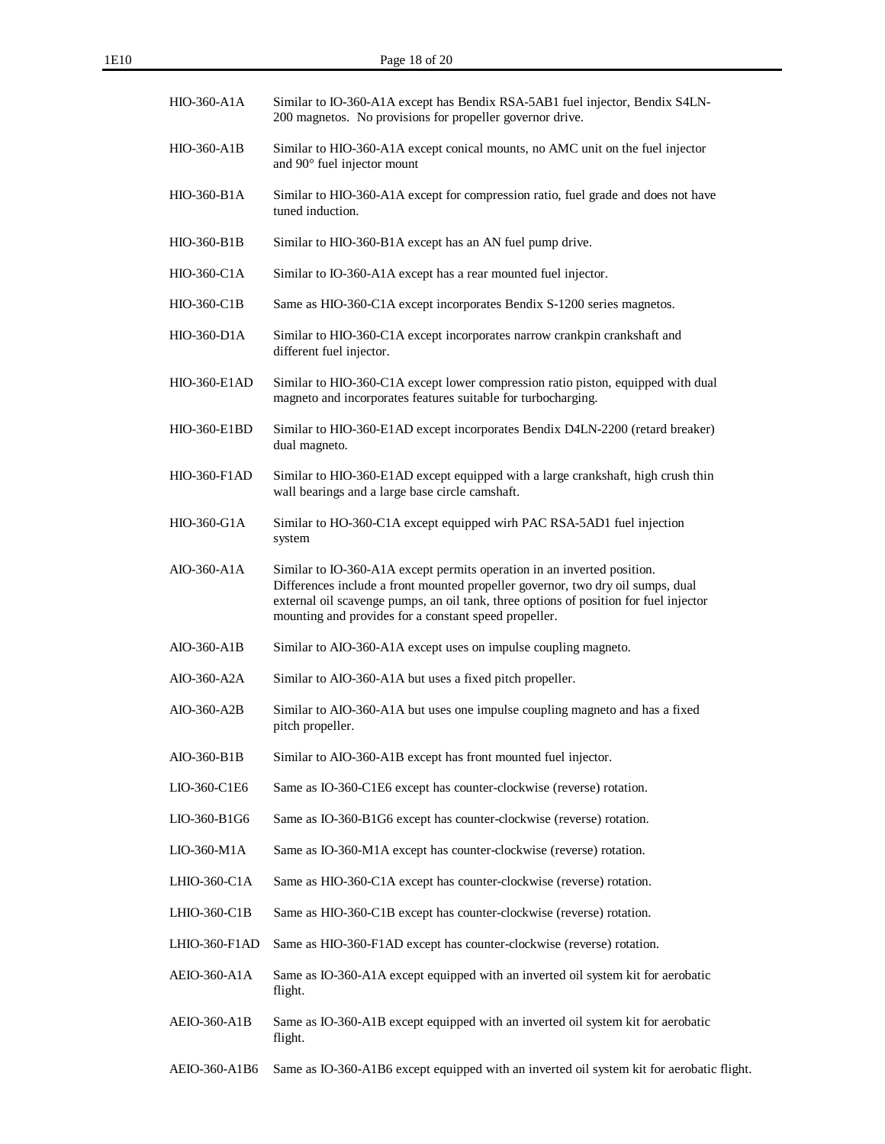| HIO-360-A1A         | Similar to IO-360-A1A except has Bendix RSA-5AB1 fuel injector, Bendix S4LN-<br>200 magnetos. No provisions for propeller governor drive.                                                                                                                                                                    |
|---------------------|--------------------------------------------------------------------------------------------------------------------------------------------------------------------------------------------------------------------------------------------------------------------------------------------------------------|
| HIO-360-A1B         | Similar to HIO-360-A1A except conical mounts, no AMC unit on the fuel injector<br>and 90° fuel injector mount                                                                                                                                                                                                |
| HIO-360-B1A         | Similar to HIO-360-A1A except for compression ratio, fuel grade and does not have<br>tuned induction.                                                                                                                                                                                                        |
| HIO-360-B1B         | Similar to HIO-360-B1A except has an AN fuel pump drive.                                                                                                                                                                                                                                                     |
| $HIO-360-C1A$       | Similar to IO-360-A1A except has a rear mounted fuel injector.                                                                                                                                                                                                                                               |
| HIO-360-C1B         | Same as HIO-360-C1A except incorporates Bendix S-1200 series magnetos.                                                                                                                                                                                                                                       |
| $HIO-360-D1A$       | Similar to HIO-360-C1A except incorporates narrow crankpin crankshaft and<br>different fuel injector.                                                                                                                                                                                                        |
| <b>HIO-360-E1AD</b> | Similar to HIO-360-C1A except lower compression ratio piston, equipped with dual<br>magneto and incorporates features suitable for turbocharging.                                                                                                                                                            |
| <b>HIO-360-E1BD</b> | Similar to HIO-360-E1AD except incorporates Bendix D4LN-2200 (retard breaker)<br>dual magneto.                                                                                                                                                                                                               |
| $HIO-360-F1AD$      | Similar to HIO-360-E1AD except equipped with a large crankshaft, high crush thin<br>wall bearings and a large base circle camshaft.                                                                                                                                                                          |
| HIO-360-G1A         | Similar to HO-360-C1A except equipped wirh PAC RSA-5AD1 fuel injection<br>system                                                                                                                                                                                                                             |
| AIO-360-A1A         | Similar to IO-360-A1A except permits operation in an inverted position.<br>Differences include a front mounted propeller governor, two dry oil sumps, dual<br>external oil scavenge pumps, an oil tank, three options of position for fuel injector<br>mounting and provides for a constant speed propeller. |
| AIO-360-A1B         | Similar to AIO-360-A1A except uses on impulse coupling magneto.                                                                                                                                                                                                                                              |
| AIO-360-A2A         | Similar to AIO-360-A1A but uses a fixed pitch propeller.                                                                                                                                                                                                                                                     |
| AIO-360-A2B         | Similar to AIO-360-A1A but uses one impulse coupling magneto and has a fixed<br>pitch propeller.                                                                                                                                                                                                             |
| AIO-360-B1B         | Similar to AIO-360-A1B except has front mounted fuel injector.                                                                                                                                                                                                                                               |
| LIO-360-C1E6        | Same as IO-360-C1E6 except has counter-clockwise (reverse) rotation.                                                                                                                                                                                                                                         |
| LIO-360-B1G6        | Same as IO-360-B1G6 except has counter-clockwise (reverse) rotation.                                                                                                                                                                                                                                         |
| LIO-360-M1A         | Same as IO-360-M1A except has counter-clockwise (reverse) rotation.                                                                                                                                                                                                                                          |
| LHIO-360-C1A        | Same as HIO-360-C1A except has counter-clockwise (reverse) rotation.                                                                                                                                                                                                                                         |
| LHIO-360-C1B        | Same as HIO-360-C1B except has counter-clockwise (reverse) rotation.                                                                                                                                                                                                                                         |
| LHIO-360-F1AD       | Same as HIO-360-F1AD except has counter-clockwise (reverse) rotation.                                                                                                                                                                                                                                        |
| AEIO-360-A1A        | Same as IO-360-A1A except equipped with an inverted oil system kit for aerobatic<br>flight.                                                                                                                                                                                                                  |
| AEIO-360-A1B        | Same as IO-360-A1B except equipped with an inverted oil system kit for aerobatic<br>flight.                                                                                                                                                                                                                  |
| AEIO-360-A1B6       | Same as IO-360-A1B6 except equipped with an inverted oil system kit for aerobatic flight.                                                                                                                                                                                                                    |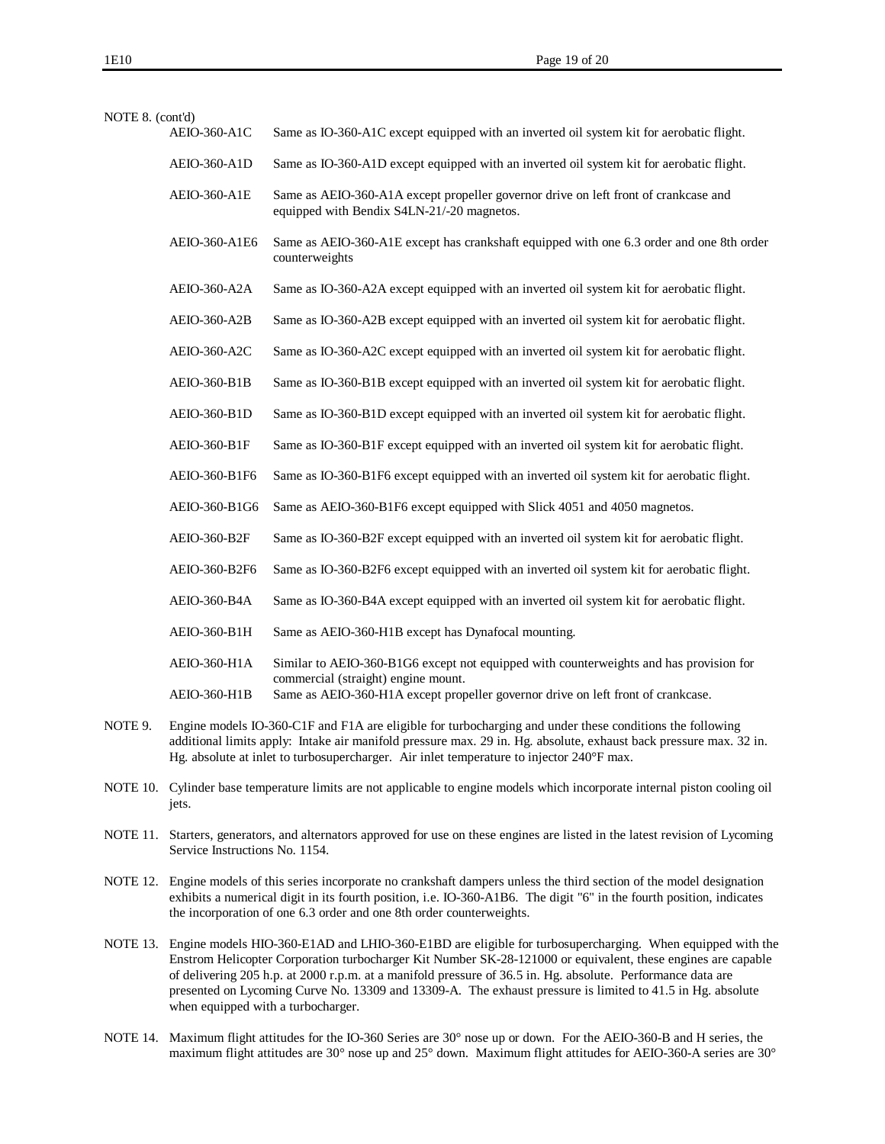| NOTE 8. (cont'd) | AEIO-360-A1C        | Same as IO-360-A1C except equipped with an inverted oil system kit for aerobatic flight.                                                                                                                                                                                                                                  |
|------------------|---------------------|---------------------------------------------------------------------------------------------------------------------------------------------------------------------------------------------------------------------------------------------------------------------------------------------------------------------------|
|                  | <b>AEIO-360-A1D</b> | Same as IO-360-A1D except equipped with an inverted oil system kit for aerobatic flight.                                                                                                                                                                                                                                  |
|                  | <b>AEIO-360-A1E</b> | Same as AEIO-360-A1A except propeller governor drive on left front of crankcase and<br>equipped with Bendix S4LN-21/-20 magnetos.                                                                                                                                                                                         |
|                  | AEIO-360-A1E6       | Same as AEIO-360-A1E except has crankshaft equipped with one 6.3 order and one 8th order<br>counterweights                                                                                                                                                                                                                |
|                  | AEIO-360-A2A        | Same as IO-360-A2A except equipped with an inverted oil system kit for aerobatic flight.                                                                                                                                                                                                                                  |
|                  | AEIO-360-A2B        | Same as IO-360-A2B except equipped with an inverted oil system kit for aerobatic flight.                                                                                                                                                                                                                                  |
|                  | AEIO-360-A2C        | Same as IO-360-A2C except equipped with an inverted oil system kit for aerobatic flight.                                                                                                                                                                                                                                  |
|                  | AEIO-360-B1B        | Same as IO-360-B1B except equipped with an inverted oil system kit for aerobatic flight.                                                                                                                                                                                                                                  |
|                  | AEIO-360-B1D        | Same as IO-360-B1D except equipped with an inverted oil system kit for aerobatic flight.                                                                                                                                                                                                                                  |
|                  | AEIO-360-B1F        | Same as IO-360-B1F except equipped with an inverted oil system kit for aerobatic flight.                                                                                                                                                                                                                                  |
|                  | AEIO-360-B1F6       | Same as IO-360-B1F6 except equipped with an inverted oil system kit for aerobatic flight.                                                                                                                                                                                                                                 |
|                  | AEIO-360-B1G6       | Same as AEIO-360-B1F6 except equipped with Slick 4051 and 4050 magnetos.                                                                                                                                                                                                                                                  |
|                  | AEIO-360-B2F        | Same as IO-360-B2F except equipped with an inverted oil system kit for aerobatic flight.                                                                                                                                                                                                                                  |
|                  | AEIO-360-B2F6       | Same as IO-360-B2F6 except equipped with an inverted oil system kit for aerobatic flight.                                                                                                                                                                                                                                 |
|                  | AEIO-360-B4A        | Same as IO-360-B4A except equipped with an inverted oil system kit for aerobatic flight.                                                                                                                                                                                                                                  |
|                  | AEIO-360-B1H        | Same as AEIO-360-H1B except has Dynafocal mounting.                                                                                                                                                                                                                                                                       |
|                  | AEIO-360-H1A        | Similar to AEIO-360-B1G6 except not equipped with counterweights and has provision for<br>commercial (straight) engine mount.                                                                                                                                                                                             |
|                  | AEIO-360-H1B        | Same as AEIO-360-H1A except propeller governor drive on left front of crankcase.                                                                                                                                                                                                                                          |
| NOTE 9.          |                     | Engine models IO-360-C1F and F1A are eligible for turbocharging and under these conditions the following<br>additional limits apply: Intake air manifold pressure max. 29 in. Hg. absolute, exhaust back pressure max. 32 in.<br>Hg. absolute at inlet to turbosupercharger. Air inlet temperature to injector 240°F max. |

- NOTE 10. Cylinder base temperature limits are not applicable to engine models which incorporate internal piston cooling oil jets.
- NOTE 11. Starters, generators, and alternators approved for use on these engines are listed in the latest revision of Lycoming Service Instructions No. 1154.
- NOTE 12. Engine models of this series incorporate no crankshaft dampers unless the third section of the model designation exhibits a numerical digit in its fourth position, i.e. IO-360-A1B6. The digit "6" in the fourth position, indicates the incorporation of one 6.3 order and one 8th order counterweights.
- NOTE 13. Engine models HIO-360-E1AD and LHIO-360-E1BD are eligible for turbosupercharging. When equipped with the Enstrom Helicopter Corporation turbocharger Kit Number SK-28-121000 or equivalent, these engines are capable of delivering 205 h.p. at 2000 r.p.m. at a manifold pressure of 36.5 in. Hg. absolute. Performance data are presented on Lycoming Curve No. 13309 and 13309-A. The exhaust pressure is limited to 41.5 in Hg. absolute when equipped with a turbocharger.
- NOTE 14. Maximum flight attitudes for the IO-360 Series are 30° nose up or down. For the AEIO-360-B and H series, the maximum flight attitudes are 30° nose up and 25° down. Maximum flight attitudes for AEIO-360-A series are 30°